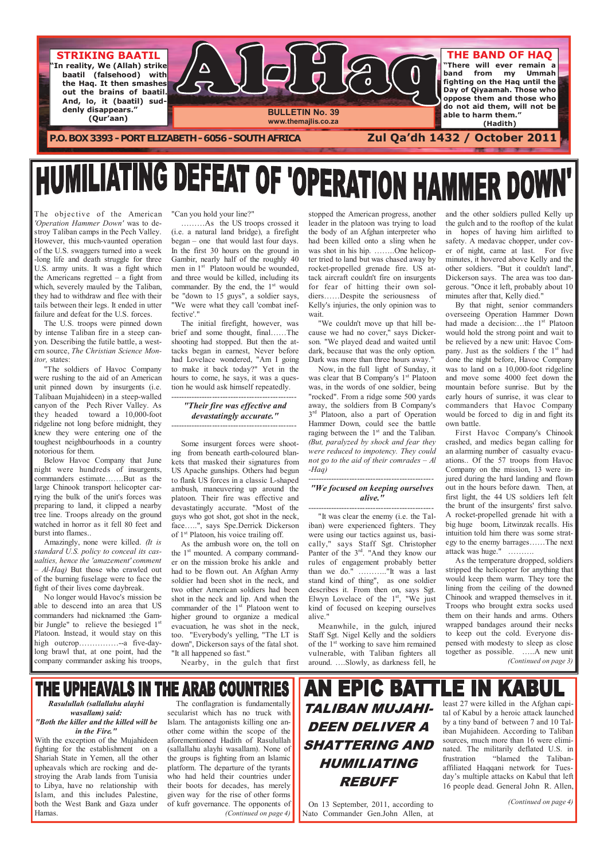

# **HUMILIATING DEFEAT OF 'OPERATION HAMMER DOWN**

The objective of the American 'Operation Hammer Down' was to destroy Taliban camps in the Pech Valley. However, this much-vaunted operation of the U.S. swaggers turned into a week -long life and death struggle for three U.S. army units. It was a fight which the Americans regretted – a fight from which, severely mauled by the Taliban, they had to withdraw and flee with their tails between their legs. It ended in utter failure and defeat for the U.S. forces.

 The U.S. troops were pinned down by intense Taliban fire in a steep canyon. Describing the futile battle, a western source, The Christian Science Monitor, states:

 "The soldiers of Havoc Company were rushing to the aid of an American unit pinned down by insurgents (i.e. Talibaan Mujahideen) in a steep-walled canyon of the Pech River Valley. As they headed toward a 10,000-foot ridgeline not long before midnight, they knew they were entering one of the toughest neighbourhoods in a country notorious for them.

 Below Havoc Company that June night were hundreds of insurgents, commanders estimate…….But as the large Chinook transport helicopter carrying the bulk of the unit's forces was preparing to land, it clipped a nearby tree line. Troops already on the ground watched in horror as it fell 80 feet and burst into flames..

 Amazingly, none were killed. (It is standard U.S. policy to conceal its casualties, hence the 'amazement' comment  $-$  Al-Haq) But those who crawled out of the burning fuselage were to face the fight of their lives come daybreak.

 No longer would Havoc's mission be able to descend into an area that US commanders had nicknamed :the Gambir Jungle" to relieve the besieged 1<sup>st</sup> Platoon. Instead, it would stay on this high outcrop……………--a five-day-

long brawl that, at one point, had the company commander asking his troops,

"Can you hold your line?"

 ………As the US troops crossed it (i.e. a natural land bridge), a firefight began – one that would last four days. In the first 30 hours on the ground in Gambir, nearly half of the roughly 40 men in 1<sup>st</sup> Platoon would be wounded, and three would be killed, including its commander. By the end, the  $1<sup>st</sup>$  would be "down to 15 guys", a soldier says, "We were what they call 'combat ineffective'."

 The initial firefight, however, was brief and some thought, final……The shooting had stopped. But then the attacks began in earnest, Never before had Lovelace wondered, "Am I going to make it back today?" Yet in the hours to come, he says, it was a question he would ask himself repeatedly.

------------------------------------------------

"Their fire was effective and devastatingly accurate."

------------------------------------------------

 Some insurgent forces were shooting from beneath earth-coloured blankets that masked their signatures from US Apache gunships. Others had begun to flank US forces in a classic L-shaped ambush, maneuvering up around the platoon. Their fire was effective and devastatingly accurate. "Most of the guys who got shot, got shot in the neck, face…..", says Spe.Derrick Dickerson of 1st Platoon, his voice trailing off.

 As the ambush wore on, the toll on the 1<sup>st</sup> mounted. A company commander on the mission broke his ankle and had to be flown out. An Afghan Army soldier had been shot in the neck, and two other American soldiers had been shot in the neck and lip. And when the commander of the 1<sup>st</sup> Platoon went to higher ground to organize a medical evacuation, he was shot in the neck, too. "Everybody's yelling, "The LT is down", Dickerson says of the fatal shot.

## THE UPHEAVALS IN THE ARAB COUNTRIES Rasulullah (sallallahu alayhi

"It all happened so fast." Nearby, in the gulch that first

## **AN EPIC BATTLE IN KABUL** TALIBAN MUJAHI-DEEN DELIVER A SHATTERING AND HUMILIATING REBUFF

stopped the American progress, another leader in the platoon was trying to load the body of an Afghan interpreter who had been killed onto a sling when he was shot in his hip. ……..One helicopter tried to land but was chased away by rocket-propelled grenade fire. US attack aircraft couldn't fire on insurgents for fear of hitting their own soldiers……Despite the seriousness of Kelly's injuries, the only opinion was to wait.

 "We couldn't move up that hill because we had no cover," says Dickerson. "We played dead and waited until dark, because that was the only option. Dark was more than three hours away."

 Now, in the full light of Sunday, it was clear that B Company's  $1<sup>st</sup>$  Platoon was, in the words of one soldier, being "rocked". From a ridge some 500 yards away, the soldiers from B Company's 3<sup>rd</sup> Platoon, also a part of Operation Hammer Down, could see the battle raging between the  $1<sup>st</sup>$  and the Taliban. (But, paralyzed by shock and fear they were reduced to impotency. They could not go to the aid of their comrades  $-Al$ -Haq)

#### ------------------------------------------------ "We focused on keeping ourselves alive."

------------------------------------------------

"It was clear the enemy (i.e. the Taliban) were experienced fighters. They were using our tactics against us, basically," says Staff Sgt. Christopher Panter of the 3rd. "And they know our rules of engagement probably better than we do." ……….."It was a last stand kind of thing", as one soldier describes it. From then on, says Sgt. Elwyn Lovelace of the  $1<sup>st</sup>$ , "We just kind of focused on keeping ourselves alive."

 Meanwhile, in the gulch, injured Staff Sgt. Nigel Kelly and the soldiers of the  $1<sup>st</sup>$  working to save him remained vulnerable, with Taliban fighters all around. ….Slowly, as darkness fell, he

and the other soldiers pulled Kelly up the gulch and to the rooftop of the kulat in hopes of having him airlifted to safety. A medavac chopper, under cover of night, came at last. For five minutes, it hovered above Kelly and the other soldiers. "But it couldn't land", Dickerson says. The area was too dangerous. "Once it left, probably about 10 minutes after that, Kelly died."

 By that night, senior commanders overseeing Operation Hammer Down had made a decision:...the 1<sup>st</sup> Platoon would hold the strong point and wait to be relieved by a new unit: Havoc Company. Just as the soldiers f the  $1<sup>st</sup>$  had done the night before, Havoc Company was to land on a 10,000-foot ridgeline and move some 4000 feet down the mountain before sunrise. But by the early hours of sunrise, it was clear to commanders that Havoc Company would be forced to dig in and fight its own battle.

 First Havoc Company's Chinook crashed, and medics began calling for an alarming number of casualty evacuations.. Of the 57 troops from Havoc Company on the mission, 13 were injured during the hard landing and flown out in the hours before dawn. Then, at first light, the 44 US soldiers left felt the brunt of the insurgents' first salvo. A rocket-propelled grenade hit with a big huge boom, Litwinzak recalls. His intuition told him there was some strategy to the enemy barrages……The next attack was huge." ……….

 As the temperature dropped, soldiers stripped the helicopter for anything that would keep them warm. They tore the lining from the ceiling of the downed Chinook and wrapped themselves in it. Troops who brought extra socks used them on their hands and arms. Others wrapped bandages around their necks to keep out the cold. Everyone dispensed with modesty to sleep as close together as possible. …..A new unit (Continued on page 3)

wasallam) said: "Both the killer and the killed will be in the Fire."

With the exception of the Mujahideen fighting for the establishment on a Shariah State in Yemen, all the other upheavals which are rocking and destroying the Arab lands from Tunisia to Libya, have no relationship with Islam, and this includes Palestine, both the West Bank and Gaza under Hamas.

 The conflagration is fundamentally secularist which has no truck with Islam. The antagonists killing one another come within the scope of the aforementioned Hadith of Rasulullah (sallallahu alayhi wasallam). None of the groups is fighting from an Islamic platform. The departure of the tyrants who had held their countries under their boots for decades, has merely given way for the rise of other forms of kufr governance. The opponents of (Continued on page 4)

 On 13 September, 2011, according to Nato Commander Gen.John Allen, at least 27 were killed in the Afghan capital of Kabul by a heroic attack launched by a tiny band of between 7 and 10 Taliban Mujahideen. According to Taliban sources, much more than 16 were eliminated. The militarily deflated U.S. in frustration "blamed the Talibanaffiliated Haqqani network for Tuesday's multiple attacks on Kabul that left 16 people dead. General John R. Allen,

(Continued on page 4)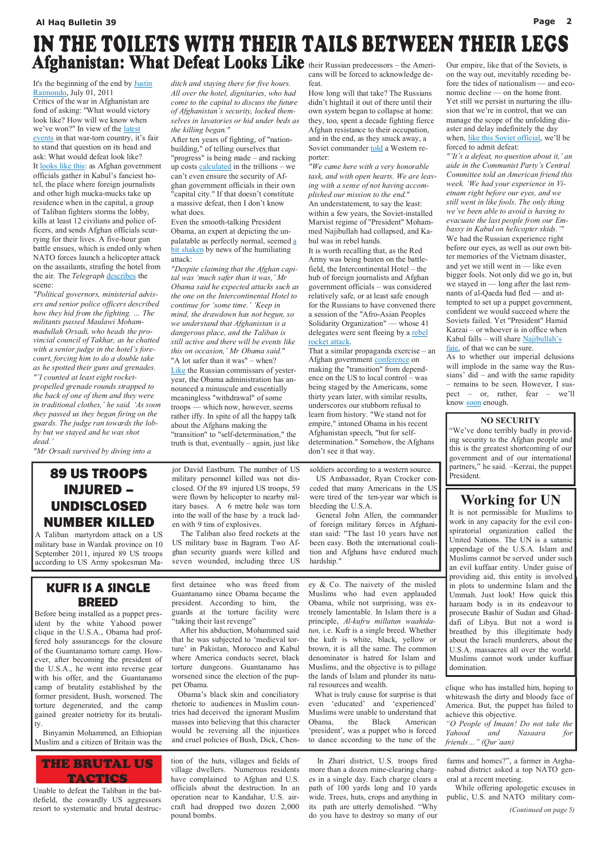It's the beginning of the end by Justin Raimondo, July 01, 2011 Critics of the war in Afghanistan are fond of asking: "What would victory look like? How will we know when we've won?" In view of the latest events in that war-torn country, it's fair to stand that question on its head and ask: What would defeat look like? It <u>looks like this</u>: as Afghan government officials gather in Kabul's fanciest hotel, the place where foreign journalists and other high mucka-mucks take up residence when in the capital, a group of Taliban fighters storms the lobby, kills at least 12 civilians and police officers, and sends Afghan officials scurrying for their lives. A five-hour gun battle ensues, which is ended only when NATO forces launch a helicopter attack on the assailants, strafing the hotel from the air. The Telegraph describes the scene:

"Political governors, ministerial advisers and senior police officers described how they hid from the fighting. … The militants passed Maulawi Mohammadullah Orsadi, who heads the provincial council of Takhar, as he chatted with a senior judge in the hotel's forecourt, forcing him to do a double take as he spotted their guns and grenades. "'I counted at least eight rocketpropelled grenade rounds strapped to the back of one of them and they were in traditional clothes,' he said. 'As soon they passed us they began firing on the guards. The judge ran towards the lobby but we stayed and he was shot dead.'

#### "Mr Orsadi survived by diving into a

ditch and staying there for five hours. All over the hotel, dignitaries, who had come to the capital to discuss the future of Afghanistan's security, locked themselves in lavatories or hid under beds as the killing began."

After ten years of fighting, of "nationbuilding," of telling ourselves that "progress" is being made – and racking up costs  $calculated$  in the trillions – we can't even ensure the security of Afghan government officials in their own "capital city." If that doesn't constitute a massive defeat, then I don't know what does.

Even the smooth-talking President Obama, an expert at depicting the unpalatable as perfectly normal, seemed a bit shaken by news of the humiliating attack:

## IN THE TOILETS WITH THEIR TAILS BETWEEN THEIR LEGS Afghanistan: What Defeat Looks Like their Russian predecessors – the Ameri-Our empire, like that of the Soviets, is

"Despite claiming that the Afghan capital was 'much safer than it was,' Mr Obama said he expected attacks such as the one on the Intercontinental Hotel to continue for 'some time.' 'Keep in mind, the drawdown has not begun, so we understand that Afghanistan is a dangerous place, and the Taliban is still active and there will be events like this on occasion,' Mr Obama said." "A lot safer than it was" – when? Like the Russian commissars of yesteryear, the Obama administration has announced a minuscule and essentially meaningless "withdrawal" of some troops — which now, however, seems rather iffy. In spite of all the happy talk about the Afghans making the "transition" to "self-determination," the truth is that, eventually – again, just like

As to whether our imperial delusions will implode in the same way the Russians' did – and with the same rapidity – remains to be seen. However, I suspect – or, rather, fear – we'll know soon enough.

cans will be forced to acknowledge defeat.

How long will that take? The Russians didn't hightail it out of there until their own system began to collapse at home: they, too, spent a decade fighting fierce Afghan resistance to their occupation, and in the end, as they snuck away, a Soviet commander told a Western reporter:

"We came here with a very honorable task, and with open hearts. We are leaving with a sense of not having accomplished our mission to the end." An understatement, to say the least: within a few years, the Soviet-installed Marxist regime of "President" Mohammed Najibullah had collapsed, and Kabul was in rebel hands.

It is worth recalling that, as the Red Army was being beaten on the battlefield, the Intercontinental Hotel – the hub of foreign journalists and Afghan government officials – was considered relatively safe, or at least safe enough for the Russians to have convened there a session of the "Afro-Asian Peoples Solidarity Organization" — whose 41 delegates were sent fleeing by a rebel rocket attack.

That a similar propaganda exercise – an Afghan government **conference** on making the "transition" from dependence on the US to local control – was being staged by the Americans, some thirty years later, with similar results, underscores our stubborn refusal to learn from history. "We stand not for empire," intoned Obama in his recent Afghanistan speech, "but for selfdetermination." Somehow, the Afghans don't see it that way.

on the way out, inevitably receding before the tides of nationalism — and economic decline — on the home front. Yet still we persist in nurturing the illusion that we're in control, that we can manage the scope of the unfolding disaster and delay indefinitely the day when, like this Soviet official, we'll be forced to admit defeat:

"'It's a defeat, no question about it,' an aide in the Communist Party's Central Committee told an American friend this week. 'We had your experience in Vietnam right before our eyes, and we still went in like fools. The only thing we've been able to avoid is having to evacuate the last people from our Embassy in Kabul on helicopter skids.'" We had the Russian experience right before our eyes, as well as our own bitter memories of the Vietnam disaster, and yet we still went in — like even bigger fools. Not only did we go in, but we stayed in — long after the last remnants of al-Qaeda had fled — and attempted to set up a puppet government, confident we would succeed where the Soviets failed. Yet "President" Hamid Karzai – or whoever is in office when Kabul falls – will share Najibullah's fate, of that we can be sure.

KUFR IS A SINGLE BREED Before being installed as a puppet president by the white Yahood power clique in the U.S.A., Obama had proffered holy assurancegs for the closure

of the Guantanamo torture camp. However, after becoming the president of the U.S.A., he went into reverse gear with his offer, and the Guantanamo camp of brutality established by the former president, Bush, worsened. The torture degenerated, and the camp gained greater notrietry for its brutality.

 Binyamin Mohammed, an Ethiopian Muslim and a citizen of Britain was the

first detainee who was freed from Guantanamo since Obama became the president. According to him, the guards at the torture facility were "taking their last revenge"

 After his abduction, Mohammed said that he was subjected to 'medieval torture' in Pakistan, Morocco and Kabul where America conducts secret, black torture dungeons. Guantanamo has worsened since the election of the puppet Obama.

 Obama's black skin and conciliatory rhetoric to audiences in Muslim countries had deceived the ignorant Muslim masses into believing that this character would be reversing all the injustices and cruel policies of Bush, Dick, Cheney & Co. The naivety of the misled Muslims who had even applauded Obama, while not surprising, was extremely lamentable. In Islam there is a principle, Al-kufru millatun waahidatun, i.e. Kufr is a single breed. Whether the kufr is white, black, yellow or brown, it is all the same. The common denominator is hatred for Islam and Muslims, and the objective is to pillage the lands of Islam and plunder its natural resources and wealth. What is truly cause for surprise is that even 'educated' and 'experienced' Muslims were unable to understand that Obama, the Black American 'president', was a puppet who is forced to dance according to the tune of the

clique who has installed him, hoping to whitewash the dirty and bloody face of America. But, the puppet has failed to achieve this objective. "O People of Imaan! Do not take the Yahood and Nasaara for friends…" (Qur'aan)

## Working for UN

It is not permissible for Muslims to work in any capacity for the evil conspiratorial organization called the United Nations. The UN is a satanic appendage of the U.S.A. Islam and Muslims cannot be served under such an evil kuffaar entity. Under guise of providing aid, this entity is involved in plots to undermine Islam and the Ummah. Just look! How quick this haraam body is in its endeavour to prosecute Bashir of Sudan and Ghaddafi of Libya. But not a word is breathed by this illegitimate body about the Israeli murderers, about the U.S.A. massacres all over the world. Muslims cannot work under kuffaar domination.

## 89 US TROOPS INJURED – UNDISCLOSED NUMBER KILLED

A Taliban martyrdom attack on a US military base in Wardak province on 10 September 2011, injured 89 US troops according to US Army spokesman Major David Eastburn. The number of US military personnel killed was not disclosed. Of the 89 injured US troops, 59 were flown by helicopter to nearby military bases. A 6 metre hole was torn into the wall of the base by a truck laden with 9 tins of explosives.

 The Taliban also fired rockets at the US military base in Bagram. Two Afghan security guards were killed and seven wounded, including three US soldiers according to a western source.

 US Ambassador, Ryan Crocker conceded that many Americans in the US were tired of the ten-year war which is bleeding the U.S.A.

 General John Allen, the commander of foreign military forces in Afghanistan said: "The last 10 years have not been easy. Both the international coalition and Afghans have endured much hardship."



Unable to defeat the Taliban in the battlefield, the cowardly US aggressors resort to systematic and brutal destruction of the huts, villages and fields of village dwellers. Numerous residents have complained to Afghan and U.S. officials about the destruction. In an operation near to Kandahar, U.S. aircraft had dropped two dozen 2,000 pound bombs.

 In Zhari district, U.S. troops fired more than a dozen mine-clearing charges in a single day. Each charge clears a path of 100 yards long and 10 yards wide. Trees, huts, crops and anything in its path are utterly demolished. "Why do you have to destroy so many of our

farms and homes?", a farmer in Arghanabad district asked a top NATO general at a recent meeting.

 While offering apologetic excuses in public, U.S. and NATO military com-

(Continued on page 5)

#### NO SECURITY

"We've done terribly badly in providing security to the Afghan people and this is the greatest shortcoming of our government and of our international partners," he said. –Kerzai, the puppet President.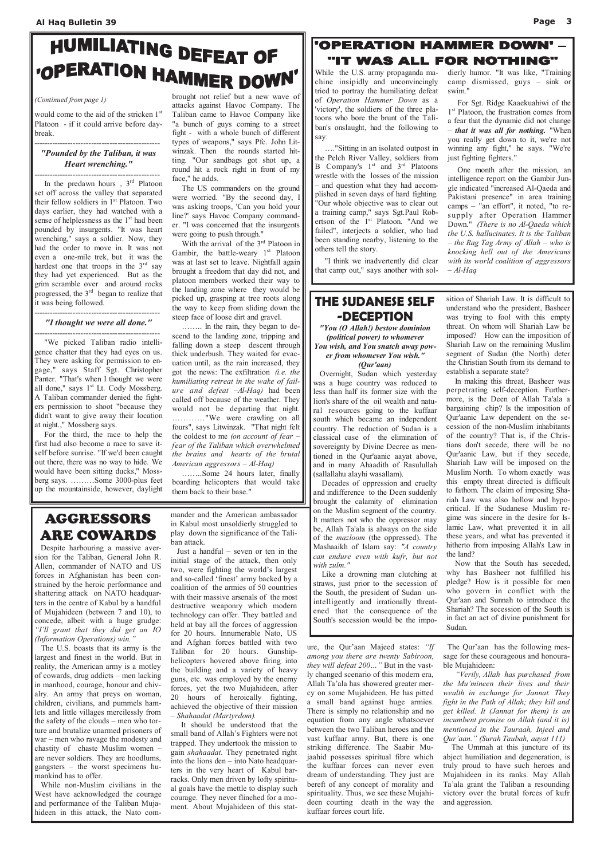# HUMILIATING DEFEAT OF "OPERATION HAMMER DOWN"

would come to the aid of the stricken 1<sup>st</sup> Platoon - if it could arrive before daybreak.

------------------------------------------------

### "Pounded by the Taliban, it was Heart wrenching."

------------------------------------------------ In the predawn hours,  $3<sup>rd</sup>$  Platoon set off across the valley that separated their fellow soldiers in 1<sup>st</sup> Platoon. Two days earlier, they had watched with a sense of helplessness as the 1<sup>st</sup> had been pounded by insurgents. "It was heart wrenching," says a soldier. Now, they had the order to move in. It was not even a one-mile trek, but it was the hardest one that troops in the  $3<sup>rd</sup>$  say they had yet experienced. But as the grim scramble over and around rocks progressed, the 3rd began to realize that it was being followed.

#### ------------------------------------------------ "I thought we were all done."

------------------------------------------------ "We picked Taliban radio intelligence chatter that they had eyes on us. They were asking for permission to engage," says Staff Sgt. Christopher Panter. "That's when I thought we were all done," says 1<sup>st</sup> Lt. Cody Mossberg. A Taliban commander denied the fighters permission to shoot "because they didn't want to give away their location at night.," Mossberg says.

With the arrival of the 3<sup>rd</sup> Platoon in Gambir, the battle-weary  $1<sup>st</sup>$  Platoon was at last set to leave. Nightfall again brought a freedom that day did not, and platoon members worked their way to the landing zone where they would be picked up, grasping at tree roots along the way to keep from sliding down the steep face of loose dirt and gravel.

 For the third, the race to help the first had also become a race to save itself before sunrise. "If we'd been caught out there, there was no way to hide. We would have been sitting ducks," Mossberg says. ………Some 3000-plus feet up the mountainside, however, daylight

brought not relief but a new wave of attacks against Havoc Company. The Taliban came to Havoc Company like "a bunch of guys coming to a street fight - with a whole bunch of different types of weapons," says Pfc. John Litwinzak. Then the rounds started hitting. "Our sandbags got shot up, a round hit a rock right in front of my face," he adds.

 The US commanders on the ground were worried. "By the second day, I was asking troops, 'Can you hold your line?' says Havoc Company commander. "I was concerned that the insurgents were going to push through."

 One month after the mission, an intelligence report on the Gambir Jungle indicated "increased Al-Qaeda and Pakistani presence" in area training camps – "an effort", it noted, "to resupply after Operation Hammer Down." (There is no Al-Qaeda which the U.S. hallucinates. It is the Taliban  $-$  the Rag Tag Army of Allah  $-$  who is knocking hell out of the Americans with its world coalition of aggressors  $-$  Al-Haq

 …….. In the rain, they began to descend to the landing zone, tripping and falling down a steep descent through thick underbush. They waited for evacuation until, as the rain increased, they got the news: The exfiltration  $(i.e.$  the humiliating retreat in the wake of failure and defeat  $-Al-Haq$ ) had been called off because of the weather. They would not be departing that night. …………"We were crawling on all fours", says Litwinzak. "That night felt the coldest to me (on account of fear – fear of the Taliban which overwhelmed the brains and hearts of the brutal American aggressors – Al-Haq)

……..Some 24 hours later, finally boarding helicopters that would take them back to their base."

#### (Continued from page 1)

While the U.S. army propaganda machine insipidly and unconvincingly tried to portray the humiliating defeat of Operation Hammer Down as a 'victory', the soldiers of the three platoons who bore the brunt of the Taliban's onslaught, had the following to say:

 …."Sitting in an isolated outpost in the Pelch River Valley, soldiers from B Company's  $1<sup>st</sup>$  and  $3<sup>rd</sup>$  Platoons wrestle with the losses of the mission – and question what they had accomplished in seven days of hard fighting. "Our whole objective was to clear out a training camp," says Sgt.Paul Robertson of the 1<sup>st</sup> Platoon. "And we failed", interjects a soldier, who had been standing nearby, listening to the others tell the story.

 "I think we inadvertently did clear that camp out," says another with soldierly humor. "It was like, "Training camp dismissed, guys – sink or swim."

 For Sgt. Ridge Kaaekuahiwi of the 1<sup>st</sup> Platoon, the frustration comes from a fear that the dynamic did not change – that it was all for nothing. "When you really get down to it, we're not winning any fight," he says. "We're just fighting fighters."

## AGGRESSORS ARE COWARDS

 Despite harbouring a massive aversion for the Taliban, General John R. Allen, commander of NATO and US forces in Afghanistan has been constrained by the heroic performance and shattering attack on NATO headquarters in the centre of Kabul by a handful of Mujahideen (between 7 and 10), to concede, albeit with a huge grudge: "I'll grant that they did get an IO (Information Operations) win."

 The U.S. boasts that its army is the largest and finest in the world. But in reality, the American army is a motley of cowards, drug addicts – men lacking in manhood, courage, honour and chivalry. An army that preys on woman, children, civilians, and pummels hamlets and little villages mercilessly from the safety of the clouds – men who torture and brutalize unarmed prisoners of war – men who ravage the modesty and chastity of chaste Muslim women – are never soldiers. They are hoodlums, gangsters – the worst specimens humankind has to offer. While non-Muslim civilians in the West have acknowledged the courage and performance of the Taliban Mujahideen in this attack, the Nato commander and the American ambassador in Kabul most unsoldierly struggled to play down the significance of the Taliban attack.

 Just a handful – seven or ten in the initial stage of the attack, then only two, were fighting the world's largest and so-called 'finest' army backed by a coalition of the armies of 50 countries with their massive arsenals of the most destructive weaponry which modern technology can offer. They battled and held at bay all the forces of aggression for 20 hours. Innumerable Nato, US and Afghan forces battled with two Taliban for 20 hours. Gunshiphelicopters hovered above firing into the building and a variety of heavy guns, etc. was employed by the enemy forces, yet the two Mujahideen, after 20 hours of heroically fighting, achieved the objective of their mission – Shahaadat (Martyrdom). It should be understood that the small band of Allah's Fighters were not trapped. They undertook the mission to gain shahaadat. They penetrated right into the lions den – into Nato headquarters in the very heart of Kabul barracks. Only men driven by lofty spiritual goals have the mettle to display such courage. They never flinched for a moment. About Mujahideen of this stat-

## **'OPERATION HAMMER DOWN'.** "IT WAS ALL FOR NOTHING"

ure, the Qur'aan Majeed states: "If among you there are twenty Sabiroon, they will defeat 200..." But in the vastly changed scenario of this modern era, Allah Ta'ala has showered greater mercy on some Mujahideen. He has pitted a small band against huge armies. There is simply no relationship and no equation from any angle whatsoever between the two Taliban heroes and the vast kuffaar army. But, there is one striking difference. The Saabir Mujaahid possesses spiritual fibre which the kuffaar forces can never even dream of understanding. They just are bereft of any concept of morality and spirituality. Thus, we see these Mujahideen courting death in the way the kuffaar forces court life.

The Qur'aan has the following mes-

sage for these courageous and honourable Mujahideen:

 "Verily, Allah has purchased from the Mu'mineen their lives and their wealth in exchange for Jannat. They fight in the Path of Allah; they kill and get killed. It (Jannat for them) is an incumbent promise on Allah (and it is) mentioned in the Tauraah, Injeel and Qur'aan." (Surah Taubah, aayat 111) The Ummah at this juncture of its abject humiliation and degeneration, is truly proud to have such heroes and Mujahideen in its ranks. May Allah Ta'ala grant the Taliban a resounding victory over the brutal forces of kufr and aggression.

## THE SUDANESE SELF -DECEPTION

"You (O Allah!) bestow dominion (political power) to whomever You wish, and You snatch away power from whomever You wish." (Qur'aan)

 Overnight, Sudan which yesterday was a huge country was reduced to less than half its former size with the lion's share of the oil wealth and natural resources going to the kuffaar south which became an independent country. The reduction of Sudan is a classical case of the elimination of sovereignty by Divine Decree as mentioned in the Qur'aanic aayat above, and in many Ahaadith of Rasulullah (sallallahu alayhi wasallam).

 Decades of oppression and cruelty and indifference to the Deen suddenly brought the calamity of elimination on the Muslim segment of the country. It matters not who the oppressor may be, Allah Ta'ala is always on the side of the mazloom (the oppressed). The Mashaaikh of Islam say: "A country can endure even with kufr, but not with zulm."

 Like a drowning man clutching at straws, just prior to the secession of the South, the president of Sudan unintelligently and irrationally threatened that the consequence of the South's secession would be the imposition of Shariah Law. It is difficult to understand who the president, Basheer was trying to fool with this empty threat. On whom will Shariah Law be imposed? How can the imposition of Shariah Law on the remaining Muslim segment of Sudan (the North) deter the Christian South from its demand to establish a separate state?

 In making this threat, Basheer was perpetrating self-deception. Furthermore, is the Deen of Allah Ta'ala a bargaining chip? Is the imposition of Qur'aanic Law dependent on the secession of the non-Muslim inhabitants of the country? That is, if the Christians don't secede, there will be no Qur'aanic Law, but if they secede, Shariah Law will be imposed on the Muslim North. To whom exactly was this empty threat directed is difficult to fathom. The claim of imposing Shariah Law was also hollow and hypocritical. If the Sudanese Muslim regime was sincere in the desire for Islamic Law, what prevented it in all these years, and what has prevented it hitherto from imposing Allah's Law in the land?

 Now that the South has seceded, why has Basheer not fulfilled his pledge? How is it possible for men who govern in conflict with the Qur'aan and Sunnah to introduce the Shariah? The secession of the South is in fact an act of divine punishment for Sudan.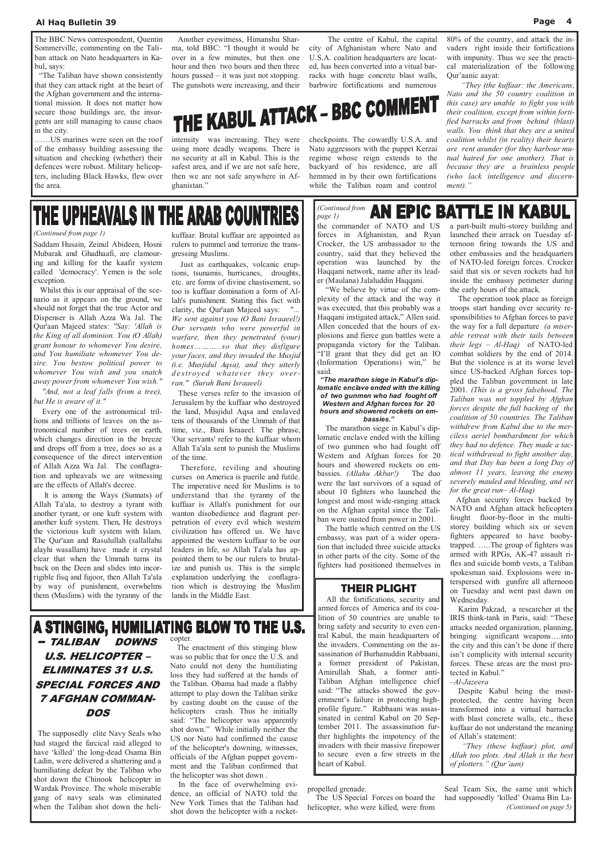Saddam Husain, Zeinul Abideen, Hosni Mubarak and Ghadhaafi, are clamouring and killing for the kaafir system called 'democracy'. Yemen is the sole exception.

 Whilst this is our appraisal of the scenario as it appears on the ground, we should not forget that the true Actor and Dispenser is Allah Azza Wa Jal. The Qur'aan Majeed states: "Say: 'Allah is the King of all dominion. You (O Allah) grant honour to whomever You desire, and You humiliate whomever You desire. You bestow political power to whomever You wish and you snatch away power from whomever You wish."

 "And, not a leaf falls (from a tree), but He is aware of it."

 Every one of the astronomical trillions and trillions of leaves on the astronomical number of trees on earth, which changes direction in the breeze and drops off from a tree, does so as a consequence of the direct intervention of Allah Azza Wa Jal. The conflagration and upheavals we are witnessing are the effects of Allah's decree.

 It is among the Ways (Sunnats) of Allah Ta'ala, to destroy a tyrant with another tyrant, or one kufr system with another kufr system. Then, He destroys the victorious kufr system with Islam. The Qur'aan and Rasulullah (sallallahu alayhi wasallam) have made it crystal clear that when the Ummah turns its back on the Deen and slides into incorrigible fisq and fujoor, then Allah Ta'ala by way of punishment, overwhelms them (Muslims) with the tyranny of the

kuffaar. Brutal kuffaar are appointed as rulers to pummel and terrorize the transgressing Muslims.

 Just as earthquakes, volcanic eruptions, tsunamis, hurricanes, droughts, etc. are forms of divine chastisement, so too is kuffaar domination a form of Allah's punishment. Stating this fact with clarity, the Qur'aan Majeed says: We sent against you (O Bani Israaeel!) Our servants who were powerful in warfare, then they penetrated (your) homes………so that they disfigure your faces, and they invaded the Musjid (i.e. Musjidul Aqsa), and they utterly destroyed whatever they overran." (Surah Bani Israaeel)

 These verses refer to the invasion of Jerusalem by the kuffaar who destroyed the land, Musjidul Aqsa and enslaved tens of thousands of the Ummah of that time, viz., Bani Israaeel. The phrase, 'Our servants' refer to the kuffaar whom Allah Ta'ala sent to punish the Muslims of the time.

## U.S. HELICOPTER – ELIMINATES 31 U.S. SPECIAL FORCES AND 7 AFGHAN COMMAN-**DOS**

 $-$  TALIBAN DOWNS  $^{c\text{opter}}$ .

 Therefore, reviling and shouting curses on America is puerile and futile. The imperative need for Muslims is to understand that the tyranny of the kuffaar is Allah's punishment for our wanton disobedience and flagrant perpetration of every evil which western civilization has offered us. We have appointed the western kuffaar to be our leaders in life, so Allah Ta'ala has appointed them to be our rulers to brutalize and punish us. This is the simple explanation underlying the conflagration which is destroying the Muslim lands in the Middle East.

#### (Continued from page 1)

The BBC News correspondent, Quentin Sommerville, commenting on the Taliban attack on Nato headquarters in Kabul, says:

 "The Taliban have shown consistently that they can attack right at the heart of the Afghan government and the international mission. It does not matter how secure those buildings are, the insurgents are still managing to cause chaos in the city.

#### **AN EPIC BATTLE IN KABUL** page 1) the commander of NATO and US forces in Afghanistan, and Ryan Crocker, the US ambassador to the country, said that they believed the operation was launched by the Haqqani network, name after its lead-

……US marines were seen on the roof of the embassy building assessing the situation and checking (whether) their defences were robust. Military helicopters, including Black Hawks, flew over the area.

 Another eyewitness, Himanshu Sharma, told BBC: "I thought it would be over in a few minutes, but then one hour and then two hours and then three hours passed – it was just not stopping. The gunshots were increasing, and their

intensity was increasing. They were using more deadly weapons. There is no security at all in Kabul. This is the safest area, and if we are not safe here, then we are not safe anywhere in Afghanistan."

 The centre of Kabul, the capital city of Afghanistan where Nato and U.S.A. coalition headquarters are located, has been converted into a vitual barracks with huge concrete blast walls, barbwire fortifications and numerous

# THE KABUL ATTACK - BBC COMMENT

checkpoints. The cowardly U.S.A. and Nato aggressors with the puppet Kerzai regime whose reign extends to the backyard of his residence, are all hemmed in by their own fortifications while the Taliban roam and control

80% of the country, and attack the invaders right inside their fortifications with impunity. Thus we see the practical materialization of the following Qur'aanic aayat:

 "They (the kuffaar: the Americans, Nato and the 50 country coalition in this case) are unable to fight you with their coalition, except from within fortified barracks and from behind (blast) walls. You think that they are a united coalition whilst (in reality) their hearts are rent asunder (for they harbour mutual hatred for one another). That is because they are a brainless people (who lack intelligence and discernment)."

## THE UPHEAVALS IN THE ARAB COUNTRIES

 The supposedly elite Navy Seals who had staged the farcical raid alleged to have 'killed' the long-dead Osama Bin Ladin, were delivered a shattering and a humiliating defeat by the Taliban who shot down the Chinook helicopter in Wardak Province. The whole miserable gang of navy seals was eliminated when the Taliban shot down the heli-

 The enactment of this stinging blow was so public that for once the U.S. and Nato could not deny the humiliating loss they had suffered at the hands of the Taliban. Obama had made a flabby attempt to play down the Taliban strike by casting doubt on the cause of the helicopters crash. Thus he initially said: "The helicopter was apparently shot down." While initially neither the US nor Nato had confirmed the cause of the helicopter's downing, witnesses, officials of the Afghan puppet government and the Taliban confirmed that the helicopter was shot down .

 In the face of overwhelming evidence, an official of NATO told the New York Times that the Taliban had shot down the helicopter with a rocket-

propelled grenade.

 The US Special Forces on board the helicopter, who were killed, were from

Seal Team Six, the same unit which had supposedly 'killed' Osama Bin La- (Continued on page 5)

er (Maulana) Jalaluddin Haqqani. "We believe by virtue of the complexity of the attack and the way it was executed, that this probably was a Haqqani instigated attack," Allen said. Allen conceded that the hours of explosions and fierce gun battles were a propaganda victory for the Taliban. "I'll grant that they did get an IO (Information Operations) win," he said.

#### "The marathon siege in Kabul's diplomatic enclave ended with the killing of two gunmen who had fought off Western and Afghan forces for 20 hours and showered rockets on embassies."

 The marathon siege in Kabul's diplomatic enclave ended with the killing of two gunmen who had fought off Western and Afghan forces for 20 hours and showered rockets on embassies. *(Allahu Akbar!)* The duo were the last survivors of a squad of about 10 fighters who launched the longest and most wide-ranging attack on the Afghan capital since the Taliban were ousted from power in 2001.

 The battle which centred on the US embassy, was part of a wider operation that included three suicide attacks in other parts of the city. Some of the fighters had positioned themselves in

a part-built multi-storey building and launched their arrack on Tuesday afternoon firing towards the US and other embassies and the headquarters of NATO-led foreign forces. Crocker said that six or seven rockets had hit inside the embassy perimeter during the early hours of the attack.

 The operation took place as foreign troops start handing over security responsibilities to Afghan forces to pave the way for a full departure (a miserable retreat with their tails between their legs  $-$  Al-Haq) of NATO-led combat soldiers by the end of 2014. But the violence is at its worse level since US-backed Afghan forces toppled the Taliban government in late 2001. (This is a gross falsehood. The Taliban was not toppled by Afghan forces despite the full backing of the coalition of 50 countries. The Taliban withdrew from Kabul due to the merciless aeriel bombardment for which they had no defence. They made a tactical withdrawal to fight another day, and that Day has been a long Day of almost 11 years, leaving the enemy severely mauled and bleeding, and set for the great run– Al-Haq)

 Afghan security forces backed by NATO and Afghan attack helicopters fought floor-by-floor in the multistorey building which six or seven fighters appeared to have boobytrapped. …..The group of fighters was armed with RPGs, AK-47 assault rifles and suicide bomb vests, a Taliban spokesman said. Explosions were interspersed with gunfire all afternoon on Tuesday and went past dawn on Wednesday.

 Karim Pakzad, a researcher at the IRIS think-tank in Paris, said: "These attacks needed organization, planning, bringing significant weapons….into the city and this can't be done if there isn't complicity with internal security forces. These areas are the most protected in Kabul."

#### –Al-Jazeera

 Despite Kabul being the mostprotected, the centre having been transformed into a virtual barracks with blast concrete walls, etc., these kuffaar do not understand the meaning of Allah's statement:

 "They (these kuffaar) plot, and Allah too plots. And Allah is the best of plotters." (Qur'aan)

(Continued from

### THEIR PLIGHT

 All the fortifications, security and armed forces of America and its coalition of 50 countries are unable to bring safety and security to even central Kabul, the main headquarters of the invaders. Commenting on the assassination of Burhanuddin Rabbaani, a former president of Pakistan, Amirullah Shah, a former anti-Taliban Afghan intelligence chief said: "The attacks showed the government's failure in protecting highprofile figure." Rabbaani was assassinated in central Kabul on 20 September 2011. The assassination further highlights the impotency of the invaders with their massive firepower to secure even a few streets in the heart of Kabul.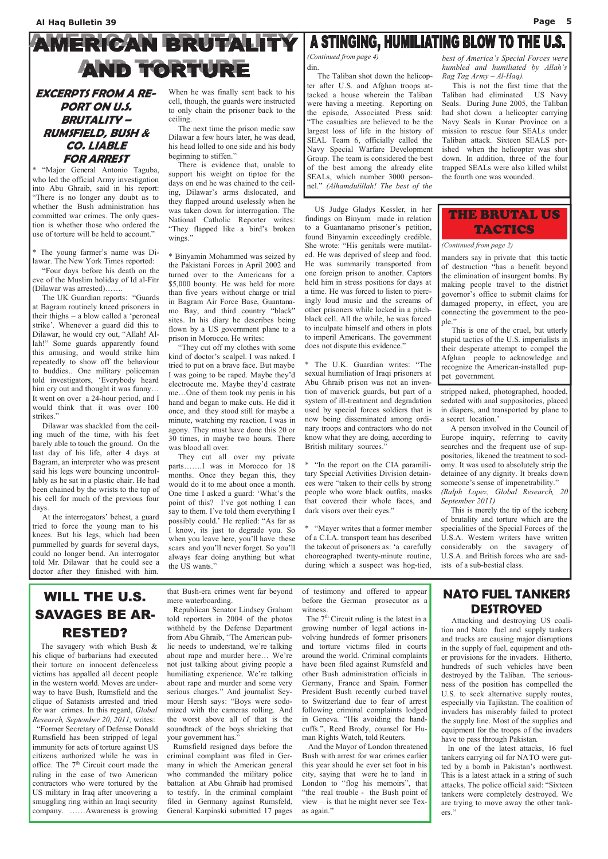# **AMERICAN BRUTALITY AND TORTURE**

### EXCERPTS FROM A RE-PORT ON U.S. BRUTALITY – RUMSFIELD, BUSH & CO. LIABLE FOR ARREST

\* "Major General Antonio Taguba, who led the official Army investigation into Abu Ghraib, said in his report: "There is no longer any doubt as to whether the Bush administration has committed war crimes. The only question is whether those who ordered the use of torture will be held to account."

\* The young farmer's name was Dilawar. The New York Times reported:

 "Four days before his death on the eve of the Muslim holiday of Id al-Fitr (Dilawar was arrested)…….

 The UK Guardian reports: "Guards at Bagram routinely kneed prisoners in their thighs – a blow called a 'peroneal strike'. Whenever a guard did this to Dilawar, he would cry out, "Allah! Allah!" Some guards apparently found this amusing, and would strike him repeatedly to show off the behaviour to buddies.. One military policeman told investigators, 'Everybody heard him cry out and thought it was funny... It went on over a 24-hour period, and I would think that it was over 100 strikes."

 There is evidence that, unable to support his weight on tiptoe for the days on end he was chained to the ceiling, Dilawar's arms dislocated, and they flapped around uselessly when he was taken down for interrogation. The National Catholic Reporter writes: "They flapped like a bird's broken wings."

 Dilawar was shackled from the ceiling much of the time, with his feet barely able to touch the ground. On the last day of his life, after 4 days at Bagram, an interpreter who was present said his legs were bouncing uncontrollably as he sat in a plastic chair. He had been chained by the wrists to the top of his cell for much of the previous four days.

 At the interrogators' behest, a guard tried to force the young man to his knees. But his legs, which had been pummelled by guards for several days, could no longer bend. An interrogator told Mr. Dilawar that he could see a doctor after they finished with him.

When he was finally sent back to his cell, though, the guards were instructed to only chain the prisoner back to the ceiling.

 The next time the prison medic saw Dilawar a few hours later, he was dead, his head lolled to one side and his body beginning to stiffen."

> \* "In the report on the CIA paramilitary Special Activities Division detainees were "taken to their cells by strong people who wore black outfits, masks that covered their whole faces, and dark visors over their eyes."

\* Binyamin Mohammed was seized by the Pakistani Forces in April 2002 and turned over to the Americans for a \$5,000 bounty. He was held for more than five years without charge or trial in Bagram Air Force Base, Guantanamo Bay, and third country "black" sites. In his diary he describes being flown by a US government plane to a prison in Morocco. He writes:

 "They cut off my clothes with some kind of doctor's scalpel. I was naked. I tried to put on a brave face. But maybe I was going to be raped. Maybe they'd electrocute me. Maybe they'd castrate me…One of them took my penis in his hand and began to make cuts. He did it once, and they stood still for maybe a minute, watching my reaction. I was in agony. They must have done this 20 or 30 times, in maybe two hours. There was blood all over.

 They cut all over my private parts…….I was in Morocco for 18 months. Once they began this, they would do it to me about once a month. One time I asked a guard: 'What's the point of this? I've got nothing I can say to them. I've told them everything I possibly could.' He replied: "As far as I know, its just to degrade you. So when you leave here, you'll have these scars and you'll never forget. So you'll always fear doing anything but what the US wants."

 US Judge Gladys Kessler, in her findings on Binyam made in relation to a Guantanamo prisoner's petition, found Binyamin exceedingly credible. She wrote: "His genitals were mutilated. He was deprived of sleep and food. He was summarily transported from one foreign prison to another. Captors held him in stress positions for days at a time. He was forced to listen to piercingly loud music and the screams of other prisoners while locked in a pitchblack cell. All the while, he was forced to inculpate himself and others in plots to imperil Americans. The government

does not dispute this evidence."

\* The U.K. Guardian writes: "The sexual humiliation of Iraqi prisoners at Abu Ghraib prison was not an invention of maverick guards, but part of a system of ill-treatment and degradation used by special forces soldiers that is now being disseminated among ordinary troops and contractors who do not know what they are doing, according to British military sources."

of testimony and offered to appear before the German prosecutor as a witness

The  $7<sup>th</sup>$  Circuit ruling is the latest in a growing number of legal actions involving hundreds of former prisoners and torture victims filed in courts around the world. Criminal complaints have been filed against Rumsfeld and other Bush administration officials in Germany, France and Spain. Former President Bush recently curbed travel to Switzerland due to fear of arrest following criminal complaints lodged in Geneva. "His avoiding the handcuffs.", Reed Brody, counsel for Human Rights Watch, told Reuters. And the Mayor of London threatened Bush with arrest for war crimes earlier this year should he ever set foot in his city, saying that were he to land in London to "flog his memoirs", that "the real trouble - the Bush point of view – is that he might never see Texas again."

# A STINGING, HUMILIATING BLOW TO THE U.S.

\* "Mayer writes that a former member of a C.I.A. transport team has described the takeout of prisoners as: 'a carefully choreographed twenty-minute routine, during which a suspect was hog-tied, stripped naked, photographed, hooded, sedated with anal suppositories, placed in diapers, and transported by plane to a secret location.'

 A person involved in the Council of Europe inquiry, referring to cavity searches and the frequent use of suppositories, likened the treatment to sodomy. It was used to absolutely strip the detainee of any dignity. It breaks down someone's sense of impenetrability." (Ralph Lopez, Global Research, 20 September 2011)

 This is merely the tip of the iceberg of brutality and torture which are the specialities of the Special Forces of the U.S.A. Western writers have written considerably on the savagery of U.S.A. and British forces who are sadists of a sub-bestial class.

din. The Taliban shot down the helicopter after U.S. and Afghan troops attacked a house wherein the Taliban were having a meeting. Reporting on the episode, Associated Press said: "The casualties are believed to be the largest loss of life in the history of SEAL Team 6, officially called the Navy Special Warfare Development Group. The team is considered the best of the best among the already elite SEALs, which number 3000 personnel." (Alhamdulillah! The best of the

#### best of America's Special Forces were humbled and humiliated by Allah's Rag Tag Army – Al-Haq).

 This is not the first time that the Taliban had eliminated US Navy Seals. During June 2005, the Taliban had shot down a helicopter carrying Navy Seals in Kunar Province on a mission to rescue four SEALs under Taliban attack. Sixteen SEALS perished when the helicopter was shot down. In addition, three of the four trapped SEALs were also killed whilst the fourth one was wounded.

(Continued from page 4)

### manders say in private that this tactic of destruction "has a benefit beyond the elimination of insurgent bombs. By making people travel to the district governor's office to submit claims for damaged property, in effect, you are connecting the government to the people." (Continued from page 2) THE BRUTAL US TACTICS

 This is one of the cruel, but utterly stupid tactics of the U.S. imperialists in their desperate attempt to compel the Afghan people to acknowledge and recognize the American-installed puppet government.

## WILL THE U.S. SAVAGES BE AR-RESTED?

The savagery with which Bush &

his clique of barbarians had executed their torture on innocent defenceless victims has appalled all decent people in the western world. Moves are underway to have Bush, Rumsfield and the clique of Satanists arrested and tried for war crimes. In this regard, Global Research, September 20, 2011, writes: "Former Secretary of Defense Donald Rumsfield has been stripped of legal immunity for acts of torture against US citizens authorized while he was in office. The 7<sup>th</sup> Circuit court made the ruling in the case of two American contractors who were tortured by the US military in Iraq after uncovering a smuggling ring within an Iraqi security company. ……Awareness is growing

that Bush-era crimes went far beyond mere waterboarding. Republican Senator Lindsey Graham

told reporters in 2004 of the photos withheld by the Defense Department from Abu Ghraib, "The American public needs to understand, we're talking about rape and murder here… We're not just talking about giving people a humiliating experience. We're talking about rape and murder and some very serious charges." And journalist Seymour Hersh says: "Boys were sodomized with the cameras rolling. And the worst above all of that is the soundtrack of the boys shrieking that your government has." Rumsfield resigned days before the criminal complaint was filed in Germany in which the American general who commanded the military police battalion at Abu Ghraib had promised to testify. In the criminal complaint filed in Germany against Rumsfeld, General Karpinski submitted 17 pages

## NATO FUEL TANKERS DESTROYED

 Attacking and destroying US coalition and Nato fuel and supply tankers and trucks are causing major disruptions in the supply of fuel, equipment and other provisions for the invaders. Hitherto, hundreds of such vehicles have been destroyed by the Taliban. The seriousness of the position has compelled the U.S. to seek alternative supply routes, especially via Tajikstan. The coalition of invaders has miserably failed to protect the supply line. Most of the supplies and equipment for the troops of the invaders have to pass through Pakistan. In one of the latest attacks, 16 fuel tankers carrying oil for NATO were gutted by a bomb in Pakistan's northwest. This is a latest attack in a string of such attacks. The police official said: "Sixteen tankers were completely destroyed. We are trying to move away the other tankers."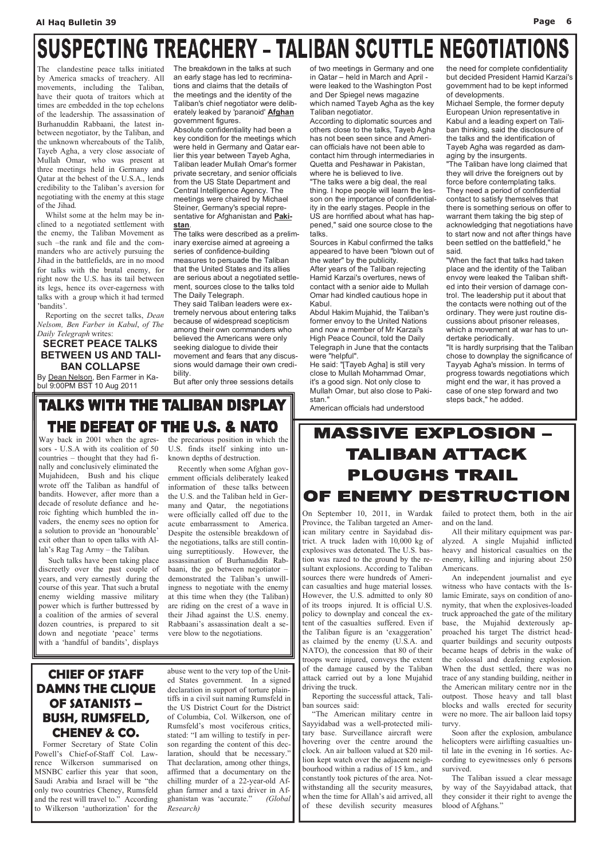# SUSPECTING TREACHERY - TALIBAN SCUTTLE NEGOTIATIONS

## CHIEF OF STAFF DAMNS THE CLIQUE OF SATANISTS – BUSH, RUMSFELD, CHENEY & CO.

 Former Secretary of State Colin Powell's Chief-of-Staff Col. Lawrence Wilkerson summarised on MSNBC earlier this year that soon, Saudi Arabia and Israel will be "the only two countries Cheney, Rumsfeld and the rest will travel to." According to Wilkerson 'authorization' for the

abuse went to the very top of the United States government. In a signed declaration in support of torture plaintiffs in a civil suit naming Rumsfeld in the US District Court for the District of Columbia, Col. Wilkerson, one of Rumsfeld's most vociferous critics, stated: "I am willing to testify in person regarding the content of this declaration, should that be necessary.' That declaration, among other things, affirmed that a documentary on the chilling murder of a 22-year-old Afghan farmer and a taxi driver in Afghanistan was 'accurate." (Global Research)

Absolute confidentiality had been a key condition for the meetings which were held in Germany and Qatar earlier this year between Tayeb Agha, Taliban leader Mullah Omar's former private secretary, and senior officials from the US State Department and Central Intelligence Agency. The meetings were chaired by Michael Steiner, Germany's special representative for Afghanistan and Pakistan.

The clandestine peace talks initiated by America smacks of treachery. All movements, including the Taliban, have their quota of traitors which at times are embedded in the top echelons of the leadership. The assassination of Burhanuddin Rabbaani, the latest inbetween negotiator, by the Taliban, and the unknown whereabouts of the Talib, Tayeb Agha, a very close associate of Mullah Omar, who was present at three meetings held in Germany and Qatar at the behest of the U.S.A., lends credibility to the Taliban's aversion for negotiating with the enemy at this stage of the Jihad.

 Whilst some at the helm may be inclined to a negotiated settlement with the enemy, the Taliban Movement as such –the rank and file and the commanders who are actively pursuing the Jihad in the battlefields, are in no mood for talks with the brutal enemy, for right now the U.S. has its tail between its legs, hence its over-eagerness with talks with a group which it had termed 'bandits'.

 Reporting on the secret talks, Dean Nelsom, Ben Farber in Kabul, of The Daily Telegraph writes:

### SECRET PEACE TALKS BETWEEN US AND TALI-BAN COLLAPSE

By Dean Nelson, Ben Farmer in Kabul 9:00PM BST 10 Aug 2011

The breakdown in the talks at such an early stage has led to recriminations and claims that the details of the meetings and the identity of the Taliban's chief negotiator were deliberately leaked by 'paranoid' **Afghan** government figures.

The talks were described as a preliminary exercise aimed at agreeing a series of confidence-building measures to persuade the Taliban that the United States and its allies are serious about a negotiated settlement, sources close to the talks told The Daily Telegraph.

They said Taliban leaders were extremely nervous about entering talks because of widespread scepticism among their own commanders who believed the Americans were only seeking dialogue to divide their movement and fears that any discussions would damage their own credibility.

But after only three sessions details

of two meetings in Germany and one in Qatar – held in March and April were leaked to the Washington Post and Der Spiegel news magazine which named Tayeb Agha as the key Taliban negotiator.

According to diplomatic sources and others close to the talks, Tayeb Agha has not been seen since and American officials have not been able to contact him through intermediaries in Quetta and Peshawar in Pakistan, where he is believed to live.

"The talks were a big deal, the real thing. I hope people will learn the lesson on the importance of confidentiality in the early stages. People in the US are horrified about what has happened," said one source close to the talks.

Sources in Kabul confirmed the talks appeared to have been "blown out of the water" by the publicity.

After years of the Taliban rejecting Hamid Karzai's overtures, news of contact with a senior aide to Mullah Omar had kindled cautious hope in Kabul.

Abdul Hakim Mujahid, the Taliban's former envoy to the United Nations and now a member of Mr Karzai's High Peace Council, told the Daily Telegraph in June that the contacts were "helpful".

He said: "[Tayeb Agha] is still very close to Mullah Mohammad Omar, it's a good sign. Not only close to Mullah Omar, but also close to Pakistan."

American officials had understood

the need for complete confidentiality but decided President Hamid Karzai's government had to be kept informed of developments.

Michael Semple, the former deputy European Union representative in Kabul and a leading expert on Taliban thinking, said the disclosure of the talks and the identification of Tayeb Agha was regarded as damaging by the insurgents.

"The Taliban have long claimed that they will drive the foreigners out by force before contemplating talks. They need a period of confidential contact to satisfy themselves that there is something serious on offer to warrant them taking the big step of acknowledging that negotiations have to start now and not after things have been settled on the battlefield," he said.

"When the fact that talks had taken place and the identity of the Taliban envoy were leaked the Taliban shifted into their version of damage control. The leadership put it about that the contacts were nothing out of the ordinary. They were just routine discussions about prisoner releases, which a movement at war has to undertake periodically.

"It is hardly surprising that the Taliban chose to downplay the significance of Tayyab Agha's mission. In terms of progress towards negotiations which might end the war, it has proved a case of one step forward and two steps back," he added.

## **TALKS WITH THE TALIBAN DISPLAY** THE DEFEAT OF THE U.S. & NATO

Way back in 2001 when the agressors - U.S.A with its coalition of 50 countries – thought that they had finally and conclusively eliminated the Mujahideen, Bush and his clique wrote off the Taliban as handful of bandits. However, after more than a decade of resolute defiance and heroic fighting which humbled the invaders, the enemy sees no option for a solution to provide an 'honourable' exit other than to open talks with Allah's Rag Tag Army – the Taliban.

 Such talks have been taking place discreetly over the past couple of years, and very earnestly during the course of this year. That such a brutal enemy wielding massive military power which is further buttressed by a coalition of the armies of several dozen countries, is prepared to sit down and negotiate 'peace' terms with a 'handful of bandits', displays

the precarious position in which the U.S. finds itself sinking into unknown depths of destruction.

 Recently when some Afghan government officials deliberately leaked information of these talks between the U.S. and the Taliban held in Germany and Qatar, the negotiations were officially called off due to the acute embarrassment to America. Despite the ostensible breakdown of the negotiations, talks are still continuing surreptitiously. However, the assassination of Burhanuddin Rabbaani, the go between negotiator – demonstrated the Taliban's unwillingness to negotiate with the enemy at this time when they (the Taliban) are riding on the crest of a wave in their Jihad against the U.S. enemy. Rabbaani's assassination dealt a severe blow to the negotiations.

## **MASSIVE EXPLOSION -**TALIBAN ATTACK **PLOUGHS TRAIL** OF ENEMY DESTRUCTION

On September 10, 2011, in Wardak Province, the Taliban targeted an American military centre in Sayidabad district. A truck laden with 10,000 kg of explosives was detonated. The U.S. bastion was razed to the ground by the resultant explosions. According to Taliban sources there were hundreds of American casualties and huge material losses. However, the U.S. admitted to only 80 of its troops injured. It is official U.S. policy to downplay and conceal the extent of the casualties suffered. Even if the Taliban figure is an 'exaggeration' as claimed by the enemy (U.S.A. and NATO), the concession that 80 of their troops were injured, conveys the extent of the damage caused by the Taliban attack carried out by a lone Mujahid driving the truck.

 Reporting the successful attack, Taliban sources said:

 "The American military centre in Sayyidabad was a well-protected military base. Surveillance aircraft were hovering over the centre around the clock. An air balloon valued at \$20 million kept watch over the adjacent neighbourhood within a radius of 15 km., and constantly took pictures of the area. Notwithstanding all the security measures, when the time for Allah's aid arrived, all of these devilish security measures

failed to protect them, both in the air and on the land.

 All their military equipment was paralyzed. A single Mujahid inflicted heavy and historical casualties on the enemy, killing and injuring about 250 Americans.

 An independent journalist and eye witness who have contacts with the Islamic Emirate, says on condition of anonymity, that when the explosives-loaded truck approached the gate of the military base, the Mujahid dexterously approached his target The district headquarter buildings and security outposts became heaps of debris in the wake of the colossal and deafening explosion. When the dust settled, there was no trace of any standing building, neither in the American military centre nor in the outpost. Those heavy and tall blast blocks and walls erected for security were no more. The air balloon laid topsy turvy. Soon after the explosion, ambulance helicopters were airlifting casualties until late in the evening in 16 sorties. According to eyewitnesses only 6 persons survived. The Taliban issued a clear message by way of the Sayyidabad attack, that they consider it their right to avenge the blood of Afghans."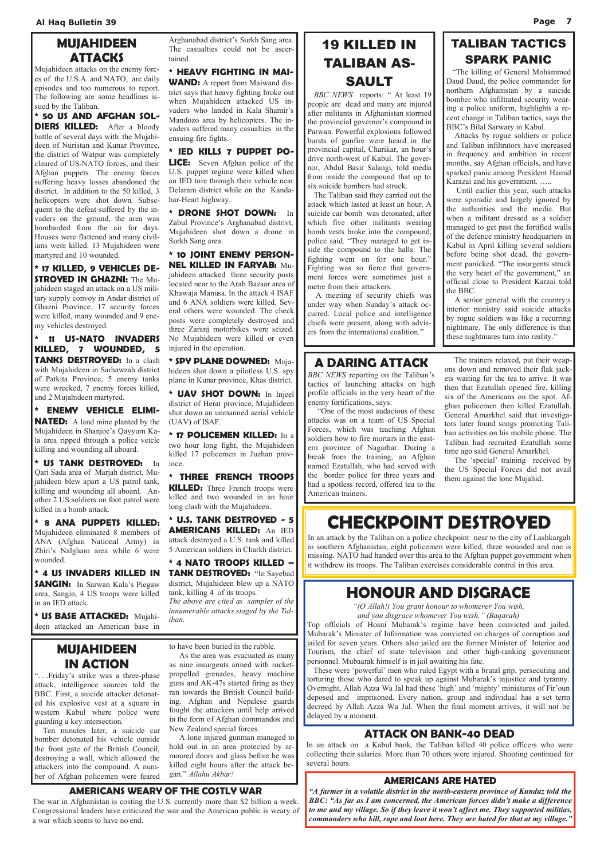## MUJAHIDEEN **ATTACKS**

Mujahideen attacks on the enemy forces of the U.S.A. and NATO, are daily episodes and too numerous to report. The following are some headlines issued by the Taliban.

\* 50 US AND AFGHAN SOL-DIERS KILLED: After a bloody battle of several days with the Mujahideen of Nuristan and Kunar Province, the district of Watpur was completely cleared of US-NATO forces, and their Afghan puppets. The enemy forces suffering heavy losses abandoned the district. In addition to the 50 killed, 3 helicopters were shot down. Subsequent to the defeat suffered by the invaders on the ground, the area was bombarded from the air for days. Houses were flattened and many civilians were killed. 13 Mujahideen were martyred and 10 wounded.

\* 17 KILLED, 9 VEHICLES DE-**STROYED IN GHAZNI:** The Mujahideen staged an attack on a US military supply convoy in Andar district of Ghazni Province. 17 security forces were killed, many wounded and 9 enemy vehicles destroyed.

\* 11 US-NATO INVADERS KILLED, 7 WOUNDED, 5 TANKS DESTROYED: In a clash with Mujahideen in Sarhawzah district of Patkita Province, 5 enemy tanks were wrecked, 7 enemy forces killed, and 2 Mujahideen martyred.

WAND: A report from Maiwand district says that heavy fighting broke out when Mujahideen attacked US invaders who landed in Kala Shamir's Mandozo area by helicopters. The invaders suffered many casualties in the ensuing fire fights.

\* ENEMY VEHICLE ELIMI-**NATED:** A land mine planted by the Mujahideen in Shanjoe's Qayyum Kala area ripped through a police veicle killing and wounding all aboard.

\* US TANK DESTROYED: In Qari Sada area of Marjah district, Mujahideen blew apart a US patrol tank, killing and wounding all aboard. Another 2 US soldiers on foot patrol were killed in a bomb attack.

\* 8 ANA PUPPETS KILLED: Mujahideen eliminated 8 members of ANA (Afghan National Army) in Zhiri's Nalgham area while 6 were wounded.

\* 4 US INVADERS KILLED IN **SANGIN:** In Sarwan Kala's Piegaw area, Sangin, 4 US troops were killed in an IED attack.

\* US BASE ATTACKED: Mujahideen attacked an American base in Arghanabad district's Surkh Sang area. The casualties could not be ascertained.

\* HEAVY FIGHTING IN MAI-

\* IED KILLS 7 PUPPET PO-LICE: Seven Afghan police of the U.S. puppet regime were killed when an IED tore through their vehicle near Delaram district while on the Kandahar-Heart highway.

\* DRONE SHOT DOWN: In Zabul Province's Arghanabad distrivt, Mujahideen shot down a drone in Surkh Sang area.

\* 10 JOINT ENEMY PERSON-NEL KILLED IN FARYAB: Mujahideen attacked three security posts located near to the Arab Bazaar area of Khawaja Manusa. In the attack 4 ISAF and 6 ANA soldiers were killed. Several others were wounded. The check posts were completely destroyed and three Zaranj motorbikes were seized. No Mujahideen were killed or even injured in the operation.

\* SPY PLANE DOWNED: Mujahideen shot down a pilotless U.S. spy plane in Kunar province, Khas district.

\* UAV SHOT DOWN: In Injeel district of Herat province, Mujahideen shot down an unmanned aerial vehicle (UAV) of ISAF.

\* 17 POLICEMEN KILLED: In a two hour long fight, the Mujahideen killed 17 policemen in Juzhan province.

\* THREE FRENCH TROOPS **KILLED:** Three French troops were killed and two wounded in an hour long clash with the Mujahideen..

\* U.S. TANK DESTROYED - 5 AMERICANS KILLED: An IED attack destroyed a U.S. tank and killed 5 American soldiers in Charkh district.

\* 4 NATO TROOPS KILLED – TANK DESTROYED: "In Sayebad district, Mujahideen blew up a NATO tank, killing 4 of its troops.

The above are cited as samples of the innumerable attacks staged by the Taliban.

## 19 KILLED IN TALIBAN AS-SAULT

 BBC NEWS reports: " At least 19 people are dead and many are injured after militants in Afghanistan stormed the provincial governor's compound in Parwan. Powerful explosions followed bursts of gunfire were heard in the provincial capital, Charikar, an hour's drive north-west of Kabul. The governor, Abdul Basir Salangi, told media from inside the compound that up to six suicide bombers had struck.

 The Taliban said they carried out the attack which lasted at least an hour. A suicide car bomb was detonated, after which five other militants wearing bomb vests broke into the compound, police said. "They managed to get inside the compound to the halls. The fighting went on for one hour." Fighting was so fierce that government forces were sometimes just a metre from their attackers.

 A meeting of security chiefs was under way when Sunday's attack occurred. Local police and intelligence chiefs were present, along with advisers from the international coalition."

## TALIBAN TACTICS SPARK PANIC

 "The killing of General Mohammed Daud Daud, the police commander for northern Afghanistan by a suicide bomber who infiltrated security wearing a police uniform, highlights a recent change in Taliban tactics, says the BBC's Bilal Sarwary in Kabul.

 Attacks by rogue soldiers or police and Taliban infiltrators have increased in frequency and ambition in recent months, say Afghan officials, and have sparked panic among President Hamid Karazai and his government. …..

 Until earlier this year, such attacks were sporadic and largely ignored by the authorities and the media. But when a militant dressed as a soldier managed to get past the fortified walls of the defence ministry headquarters in Kabul in April killing several soldiers before being shot dead, the government panicked. "The insurgents struck the very heart of the government," an official close to President Karzai told the BBC.

 A senior general with the country;s interior ministry said suicide attacks by rogue soldiers was like a recurring nightmare. The only difference is that these nightmares turn into reality."

## A DARING ATTACK

BBC NEWS reporting on the Taliban's tactics of launching attacks on high profile officials in the very heart of the enemy fortifications, says:

 "One of the most audacious of these attacks was on a team of US Special Forces, which was teaching Afghan soldiers how to fire mortars in the eastern province of Nagarhar. During a break from the training, an Afghan named Ezatullah, who had served with the border police for three years and had a spotless record, offered tea to the American trainers.

 The trainers relaxed, put their weapons down and removed their flak jackets waiting for the tea to arrive. It was then that Ezatullah opened fire, killing six of the Americans on the spot. Afghan policemen then killed Ezatullah. General Amarkhel said that investigators later found songs promoting Taliban activities on his mobile phone. The Taliban had recruited Ezatullah some time ago said General Amarkhel.

 The 'special' training received by the US Special Forces did not avail them against the lone Mujahid.

## CHECKPOINT DESTROYED

In an attack by the Taliban on a police checkpoint near to the city of Lashkargah in southern Afghanistan, eight policemen were killed, three wounded and one is missing. NATO had handed over this area to the Afghan puppet government when it withdrew its troops. The Taliban exercises considerable control in this area.

## ATTACK ON BANK-40 DEAD

In an attack on a Kabul bank, the Taliban killed 40 police officers who were collecting their salaries. More than 70 others were injured. Shooting continued for several hours.

## HONOUR AND DISGRACE

"(O Allah!) You grant honour to whomever You wish, and you disgrace whomever You wish." (Baqarah)

Top officials of Hosni Mubarak's regime have been convicted and jailed. Mubarak's Minister of Information was convicted on charges of corruption and jailed for seven years. Others also jailed are the former Minister of Interior and Tourism, the chief of state television and other high-ranking government personnel. Mubaarak himself is in jail awaiting his fate. These were 'powerful' men who ruled Egypt with a brutal grip, persecuting and torturing those who dared to speak up against Mubarak's injustice and tyranny. Overnight, Allah Azza Wa Jal had these 'high' and 'mighty' miniatures of Fir'oun deposed and imprisoned. Every nation, group and individual has a set term decreed by Allah Azza Wa Jal. When the final moment arrives, it will not be delayed by a moment.

## MUJAHIDEEN IN ACTION

"….Friday's strike was a three-phase attack, intelligence sources told the BBC. First, a suicide attacker detonated his explosive vest at a square in western Kabul where police were guarding a key intersection.

 Ten minutes later, a suicide car bomber detonated his vehicle outside the front gate of the British Council, destroying a wall, which allowed the attackers into the compound. A number of Afghan policemen were feared

to have been buried in the rubble.

 As the area was evacuated as many as nine insurgents armed with rocketpropelled grenades, heavy machine guns and AK-47s started firing as they ran towards the British Council building. Afghan and Nepalese guards fought the attackers until help arrived in the form of Afghan commandos and New Zealand special forces.

 A lone injured gunman managed to hold out in an area protected by armoured doors and glass before he was killed eight hours after the attack began." Allahu Akbar!

#### AMERICANS WEARY OF THE COSTLY WAR

The war in Afghanistan is costing the U.S. currently more than \$2 billion a week. Congressional leaders have criticized the war and the American public is weary of a war which seems to have no end.

### AMERICANS ARE HATED

"A farmer in a volatile district in the north-eastern province of Kunduz told the BBC: "As far as I am concerned, the American forces didn't make a difference to me and my village. So if they leave it won't affect me. They supported militias, commanders who kill, rape and loot here. They are hated for that at my village."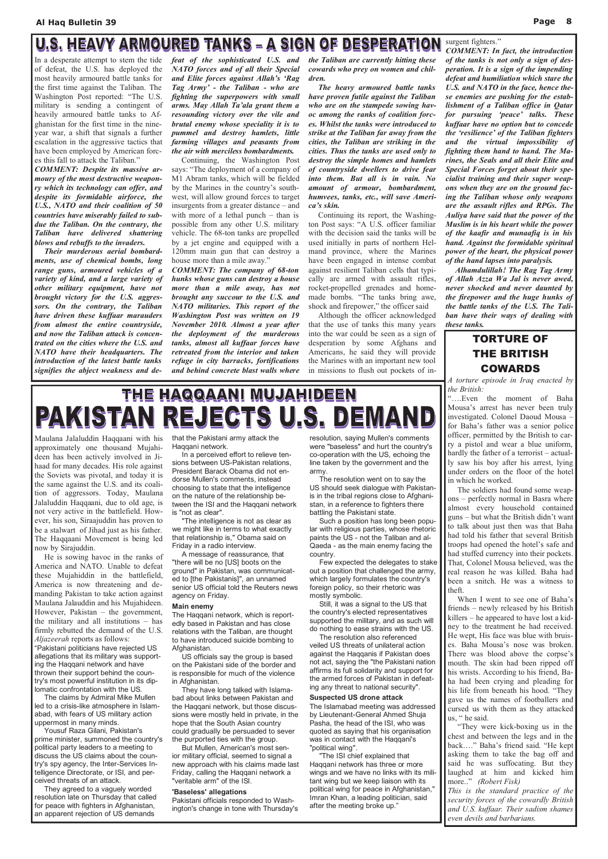#### U.S. HEAVY ARMOURED TANKS - A SIGN OF DESPERATION surgent fighters."

In a desperate attempt to stem the tide of defeat, the U.S. has deployed the most heavily armoured battle tanks for the first time against the Taliban. The Washington Post reported: "The U.S. military is sending a contingent of heavily armoured battle tanks to Afghanistan for the first time in the nineyear war, a shift that signals a further escalation in the aggressive tactics that have been employed by American forces this fall to attack the Taliban."

COMMENT: Despite its massive armoury of the most destructive weaponry which its technology can offer, and despite its formidable airforce, the U.S., NATO and their coalition of 50 countries have miserably failed to subdue the Taliban. On the contrary, the Taliban have delivered shattering blows and rebuffs to the invaders.

 Their murderous aerial bombardments, use of chemical bombs, long range guns, armoured vehicles of a variety of kind, and a large variety of other military equipment, have not brought victory for the U.S. aggressors. On the contrary, the Taliban have driven these kuffaar marauders from almost the entire countryside, and now the Taliban attack is concentrated on the cities where the U.S. and NATO have their headquarters. The introduction of the latest battle tanks signifies the abject weakness and de-

feat of the sophisticated U.S. and NATO forces and of all their Special and Elite forces against Allah's 'Rag Tag Army' - the Taliban - who are fighting the superpowers with small arms. May Allah Ta'ala grant them a resounding victory over the vile and brutal enemy whose speciality it is to pummel and destroy hamlets, little farming villages and peasants from the air with merciless bombardments.

Continuing, the Washington Post says: "The deployment of a company of M1 Abram tanks, which will be fielded by the Marines in the country's southwest, will allow ground forces to target insurgents from a greater distance – and with more of a lethal punch – than is possible from any other U.S. military vehicle. The 68-ton tanks are propelled by a jet engine and equipped with a 120mm main gun that can destroy a house more than a mile away."

COMMENT: The company of 68-ton hunks whose guns can destroy a house more than a mile away, has not brought any succour to the U.S. and NATO militaries. This report of the Washington Post was written on 19 November 2010. Almost a year after the deployment of the murderous tanks, almost all kuffaar forces have retreated from the interior and taken refuge in city barracks, fortifications and behind concrete blast walls where

the Taliban are currently hitting these cowards who prey on women and children.

 The heavy armoured battle tanks have proven futile against the Taliban who are on the stampede sowing havoc among the ranks of coalition forces. Whilst the tanks were introduced to strike at the Taliban far away from the cities, the Taliban are striking in the cities. Thus the tanks are used only to destroy the simple homes and hamlets of countryside dwellers to drive fear into them. But all is in vain. No amount of armour, bombardment, humvees, tanks, etc., will save America's skin.

Pakistani politicians have rejected US allegations that its military was supporting the Haqqani network and have thrown their support behind the country's most powerful institution in its diplomatic confrontation with the US. The claims by Admiral Mike Mullen led to a crisis-like atmosphere in Islamabad, with fears of US military action uppermost in many minds. Yousuf Raza Gilani, Pakistan's prime minister, summoned the country's political party leaders to a meeting to discuss the US claims about the country's spy agency, the Inter-Services Intelligence Directorate, or ISI, and perceived threats of an attack. They agreed to a vaguely worded resolution late on Thursday that called for peace with fighters in Afghanistan, an apparent rejection of US demands

 Continuing its report, the Washington Post says: "A U.S. officer familiar with the decision said the tanks will be used initially in parts of northern Helmand province, where the Marines have been engaged in intense combat against resilient Taliban cells that typically are armed with assault rifles, rocket-propelled grenades and homemade bombs. "The tanks bring awe, shock and firepower," the officer said

 Although the officer acknowledged that the use of tanks this many years into the war could be seen as a sign of desperation by some Afghans and Americans, he said they will provide the Marines with an important new tool in missions to flush out pockets of in-

COMMENT: In fact, the introduction of the tanks is not only a sign of desperation. It is a sign of the impending defeat and humiliation which stare the U.S. and NATO in the face, hence these enemies are pushing for the establishment of a Taliban office in Qatar for pursuing 'peace' talks. These kuffaar have no option but to concede the 'resilience' of the Taliban fighters and the virtual impossibility of fighting them hand to hand. The Marines, the Seals and all their Elite and Special Forces forget about their specialist training and their super weapons when they are on the ground facing the Taliban whose only weapons are the assault rifles and RPGs. The Auliya have said that the power of the Muslim is in his heart while the power of the kaafir and munaafiq is in his hand. Against the formidable spiritual power of the heart, the physical power of the hand lapses into paralysis.

 Alhamdulillah! The Rag Tag Army of Allah Azza Wa Jal is never awed, never shocked and never daunted by the firepower and the huge hunks of the battle tanks of the U.S. The Taliban have their ways of dealing with these tanks.

Maulana Jalaluddin Haqqaani with his approximately one thousand Mujahideen has been actively involved in Jihaad for many decades. His role against the Soviets was pivotal, and today it is the same against the U.S. and its coalition of aggressors. Today, Maulana Jalaluddin Haqqaani, due to old age, is not very active in the battlefield. However, his son, Siraajuddin has proven to be a stalwart of Jihad just as his father. The Haqqaani Movement is being led now by Sirajuddin.

 He is sowing havoc in the ranks of America and NATO. Unable to defeat these Mujahiddin in the battlefield, America is now threatening and demanding Pakistan to take action against Maulana Jalauddin and his Mujahideen. However, Pakistan – the government, the military and all institutions – has firmly rebutted the demand of the U.S. Aljazeerah reports as follows:

that the Pakistani army attack the Haqqani network.

 In a perceived effort to relieve tensions between US-Pakistan relations, President Barack Obama did not endorse Mullen's comments, instead choosing to state that the intelligence on the nature of the relationship between the ISI and the Haqqani network is "not as clear".

 "The intelligence is not as clear as we might like in terms to what exactly that relationship is," Obama said on Friday in a radio interview.

 A message of reassurance, that "there will be no [US] boots on the ground" in Pakistan, was communicated to [the Pakistanis]", an unnamed senior US official told the Reuters news agency on Friday.

#### Main enemy

The Haqqani network, which is reportedly based in Pakistan and has close relations with the Taliban, are thought to have introduced suicide bombing to Afghanistan.

 US officials say the group is based on the Pakistani side of the border and is responsible for much of the violence in Afghanistan.

 They have long talked with Islamabad about links between Pakistan and the Haqqani network, but those discussions were mostly held in private, in the hope that the South Asian country could gradually be persuaded to sever the purported ties with the group.

 But Mullen, American's most senior military official, seemed to signal a new approach with his claims made last Friday, calling the Haqqani network a "veritable arm" of the ISI.

#### 'Baseless' allegations

Pakistani officials responded to Washington's change in tone with Thursday's resolution, saying Mullen's comments were "baseless" and hurt the country's co-operation with the US, echoing the line taken by the government and the army.

 The resolution went on to say the US should seek dialogue with Pakistanis in the tribal regions close to Afghanistan, in a reference to fighters there battling the Pakistani state.

 Such a position has long been popular with religious parties, whose rhetoric paints the US - not the Taliban and al-Qaeda - as the main enemy facing the country.

 Few expected the delegates to stake out a position that challenged the army, which largely formulates the country's foreign policy, so their rhetoric was mostly symbolic.

 Still, it was a signal to the US that the country's elected representatives supported the military, and as such will do nothing to ease strains with the US.

 The resolution also referenced veiled US threats of unilateral action

against the Haqqanis if Pakistan does not act, saying the "the Pakistani nation affirms its full solidarity and support for the armed forces of Pakistan in defeating any threat to national security".

#### Suspected US drone attack

The Islamabad meeting was addressed by Lieutenant-General Ahmed Shuja Pasha, the head of the ISI, who was quoted as saying that his organisation was in contact with the Haqqani's "political wing".

 "The ISI chief explained that Haqqani network has three or more wings and we have no links with its militant wing but we keep liaison with its political wing for peace in Afghanistan," Imran Khan, a leading politician, said after the meeting broke up."

## TORTURE OF THE BRITISH COWARDS

A torture episode in Iraq enacted by the British:

"….Even the moment of Baha Mousa's arrest has never been truly investigated. Colonel Daoud Mousa – for Baha's father was a senior police officer, permitted by the British to carry a pistol and wear a blue uniform, hardly the father of a terrorist – actually saw his boy after his arrest, lying under orders on the floor of the hotel in which he worked.

 The soldiers had found some weapons – perfectly normal in Basra where almost every household contained guns – but what the British didn't want to talk about just then was that Baha had told his father that several British troops had opened the hotel's safe and had stuffed currency into their pockets. That, Colonel Mousa believed, was the real reason he was killed. Baha had been a snitch. He was a witness to theft.

 When I went to see one of Baha's friends – newly released by his British killers – he appeared to have lost a kidney to the treatment he had received. He wept, His face was blue with bruises. Baha Mousa's nose was broken. There was blood above the corpse's mouth. The skin had been ripped off his wrists. According to his friend, Baha had been crying and pleading for his life from beneath his hood. "They gave us the names of footballers and cursed us with them as they attacked us, " he said. "They were kick-boxing us in the chest and between the legs and in the back…." Baha's friend said. "He kept asking them to take the bag off and said he was suffocating. But they laughed at him and kicked him more.." (Robert Fisk) This is the standard practice of the security forces of the cowardly British and U.S. kuffaar. Their sadism shames even devils and barbarians.

# THE HAQQAANI MUJAHIDEEN PAKISTAN REJECTS U.S. DEMAND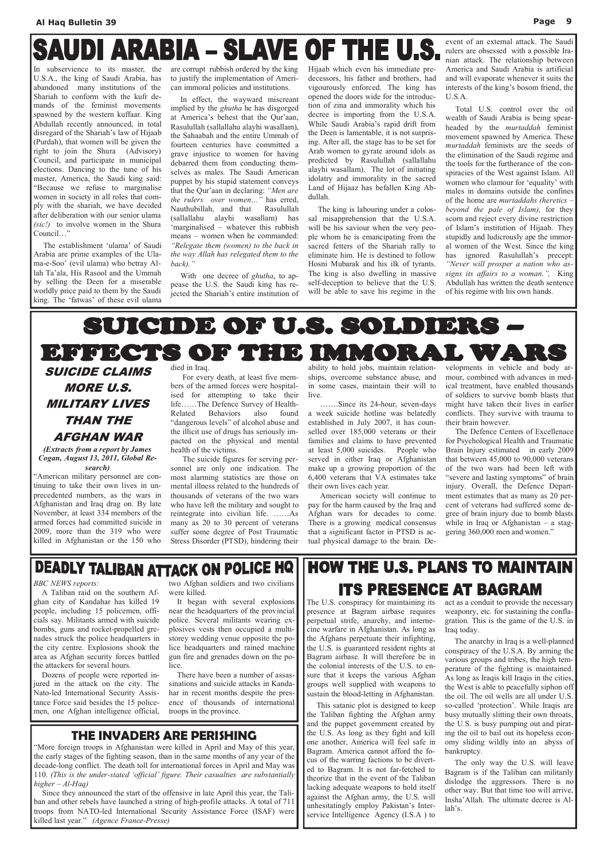# **SAUDI ARABIA - SLAVE OF THE U.S**

In subservience to its master, the U.S.A., the king of Saudi Arabia, has abandoned many institutions of the Shariah to conform with the kufr demands of the feminist movements spawned by the western kuffaar. King Abdullah recently announced, in total disregard of the Shariah's law of Hijaab (Purdah), that women will be given the right to join the Shura (Advisory) Council, and participate in municipal elections. Dancing to the tune of his master, America, the Saudi king said: "Because we refuse to marginalise women in society in all roles that comply with the shariah, we have decided after deliberation with our senior ulama (sic!) to involve women in the Shura Council…"

 The establishment 'ulama' of Saudi Arabia are prime examples of the Ulama-e-Soo' (evil ulama) who betray Allah Ta'ala, His Rasool and the Ummah by selling the Deen for a miserable worldly price paid to them by the Saudi king. The 'fatwas' of these evil ulama

With one decree of *ghutha*, to appease the U.S. the Saudi king has rejected the Shariah's entire institution of

are corrupt rubbish ordered by the king to justify the implementation of American immoral policies and institutions.

 In effect, the wayward miscreant implied by the ghutha he has disgorged at America's behest that the Qur'aan, Rasulullah (sallallahu alayhi wasallam), the Sahaabah and the entire Ummah of fourteen centuries have committed a grave injustice to women for having debarred them from conducting themselves as males. The Saudi American puppet by his stupid statement conveys that the Qur'aan in declaring: "Men are the rulers over women…" has erred, Nauthubillah, and that Rasulullah (sallallahu alayhi wasallam) has 'marginalised – whatever this rubbish means – women when he commanded: "Relegate them (women) to the back in the way Allah has relegated them to the back)."

Hijaab which even his immediate predecessors, his father and brothers, had vigourously enforced. The king has opened the doors wide for the introduction of zina and immorality which his decree is importing from the U.S.A. While Saudi Arabia's rapid drift from the Deen is lamentable, it is not surprising. After all, the stage has to be set for Arab women to gyrate around idols as predicted by Rasulullah (sallallahu alayhi wasallam). The lot of initiating idolatry and immorality in the sacred Land of Hijaaz has befallen King Abdullah.

 The king is labouring under a colossal misapprehension that the U.S.A. will be his saviour when the very people whom he is emancipating from the sacred fetters of the Shariah rally to eliminate him. He is destined to follow Hosni Mubarak and his ilk of tyrants. The king is also dwelling in massive self-deception to believe that the U.S. will be able to save his regime in the

event of an external attack. The Saudi rulers are obsessed with a possible Iranian attack. The relationship between America and Saudi Arabia is artificial and will evaporate whenever it suits the interests of the king's bosom friend, the U.S.A.

 Total U.S. control over the oil wealth of Saudi Arabia is being spearheaded by the murtaddah feminist movement spawned by America. These murtaddah feminists are the seeds of the elimination of the Saudi regime and the tools for the furtherance of the conspiracies of the West against Islam. All women who clamour for 'equality' with males in domains outside the confines of the home are murtaddahs (heretics – beyond the pale of Islam), for they scorn and reject every divine restriction of Islam's institution of Hijaab. They stupidly and ludicrously ape the immoral women of the West. Since the king has ignored Rasulullah's precept: "Never will prosper a nation who assigns its affairs to a woman.", King Abdullah has written the death sentence of his regime with his own hands.

# SUICIDE OF U.S. SOLDIERS – EFFECTS OF THE IMMORAL WARS

## SUICIDE CLAIMS MORE U.S. MILITARY LIVES THAN THE AFGHAN WAR

(Extracts from a report by James Cogan, August 13, 2011, Global Research)

"American military personnel are continuing to take their own lives in unprecedented numbers, as the wars in Afghanistan and Iraq drag on. By late November, at least 334 members of the armed forces had committed suicide in 2009, more than the 319 who were killed in Afghanistan or the 150 who

#### died in Iraq.

 For every death, at least five members of the armed forces were hospitalised for attempting to take their life……The Defence Survey of Health-Related Behaviors also found "dangerous levels" of alcohol abuse and the illicit use of drugs has seriously impacted on the physical and mental health of the victims.

 The suicide figures for serving personnel are only one indication. The most alarming statistics are those on mental illness related to the hundreds of thousands of veterans of the two wars who have left the military and sought to reintegrate into civilian life. ……As many as 20 to 30 percent of veterans suffer some degree of Post Traumatic Stress Disorder (PTSD), hindering their

ability to hold jobs, maintain relationships, overcome substance abuse, and in some cases, maintain their will to live.

 …….Since its 24-hour, seven-days a week suicide hotline was belatedly established in July 2007, it has counselled over 185,000 veterans or their families and claims to have prevented at least 5,000 suicides. People who served in either Iraq or Afghanistan make up a growing proportion of the 6,400 veterans that VA estimates take their own lives each year.

 American society will continue to pay for the harm caused by the Iraq and Afghan wars for decades to come. There is a growing medical consensus that a significant factor in PTSD is actual physical damage to the brain. Developments in vehicle and body armour, combined with advances in medical treatment, have enabled thousands of soldiers to survive bomb blasts that might have taken their lives in earlier conflicts. They survive with trauma to their brain however.

 The Defence Centers of Excellenace for Psychological Health and Traumatic Brain Injury estimated in early 2009 that between 45,000 to 90,000 veterans of the two wars had been left with "severe and lasting symptoms" of brain injury. Overall, the Defence Department estimates that as many as 20 percent of veterans had suffered some degree of brain injury due to bomb blasts while in Iraq or Afghanistan – a staggering 360,000 men and women."

## **DEADLY TALIBAN ATTACK ON POLICE HQ**

#### BBC NEWS reports:

 A Taliban raid on the southern Afghan city of Kandahar has killed 19 people, including 15 policemen, officials say. Militants armed with suicide bombs, guns and rocket-propelled grenades struck the police headquarters in the city centre. Explosions shook the

area as Afghan security forces battled the attackers for several hours.

 Dozens of people were reported injured in the attack on the city. The Nato-led International Security Assistance Force said besides the 15 policemen, one Afghan intelligence official,

two Afghan soldiers and two civilians were killed.

 It began with several explosions near the headquarters of the provincial police. Several militants wearing explosives vests then occupied a multistorey wedding venue opposite the police headquarters and rained machine gun fire and grenades down on the police.

## **HOW THE U.S. PLANS TO MAINTAIN ITS PRESENCE AT BAGRAM**

 There have been a number of assassinations and suicide attacks in Kandahar in recent months despite the presence of thousands of international troops in the province.

## THE INVADERS ARE PERISHING

"More foreign troops in Afghanistan were killed in April and May of this year, the early stages of the fighting season, than in the same months of any year of the decade-long conflict. The death toll for international forces in April and May was 110. (This is the under-stated 'official' figure. Their casualties are substantially higher – Al-Haq)

 Since they announced the start of the offensive in late April this year, the Taliban and other rebels have launched a string of high-profile attacks. A total of 711 troops from NATO-led International Security Assistance Force (ISAF) were killed last year." (Agence France-Presse)

The U.S. conspiracy for maintaining its presence at Bagram airbase requires perpetual strife, anarchy, and internecine warfare in Afghanistan. As long as the Afghans perpetuate their infighting, the U.S. is guaranteed resident rights at Bagram airbase. It will therefore be in the colonial interests of the U.S. to ensure that it keeps the various Afghan groups well supplied with weapons to sustain the blood-letting in Afghanistan. This satanic plot is designed to keep the Taliban fighting the Afghan army and the puppet government created by the U.S. As long as they fight and kill one another, America will feel safe in Bagram. America cannot afford the focus of the warring factions to be diverted to Bagram. It is not far-fetched to theorize that in the event of the Taliban lacking adequate weapons to hold itself against the Afghan army, the U.S. will unhesitatingly employ Pakistan's Interservice Intelligence Agency (I.S.A ) to

act as a conduit to provide the necessary weaponry, etc. for sustaining the conflagration. This is the game of the U.S. in Iraq today.

 The anarchy in Iraq is a well-planned conspiracy of the U.S.A. By arming the various groups and tribes, the high temperature of the fighting is maintained. As long as Iraqis kill Iraqis in the cities, the West is able to peacefully siphon off the oil. The oil wells are all under U.S. so-called 'protection'. While Iraqis are busy mutually slitting their own throats, the U.S. is busy pumping out and pirating the oil to bail out its hopeless economy sliding wildly into an abyss of bankruptcy. The only way the U.S. will leave Bagram is if the Taliban can militarily dislodge the aggressors. There is no other way. But that time too will arrive, Insha'Allah. The ultimate decree is Allah's.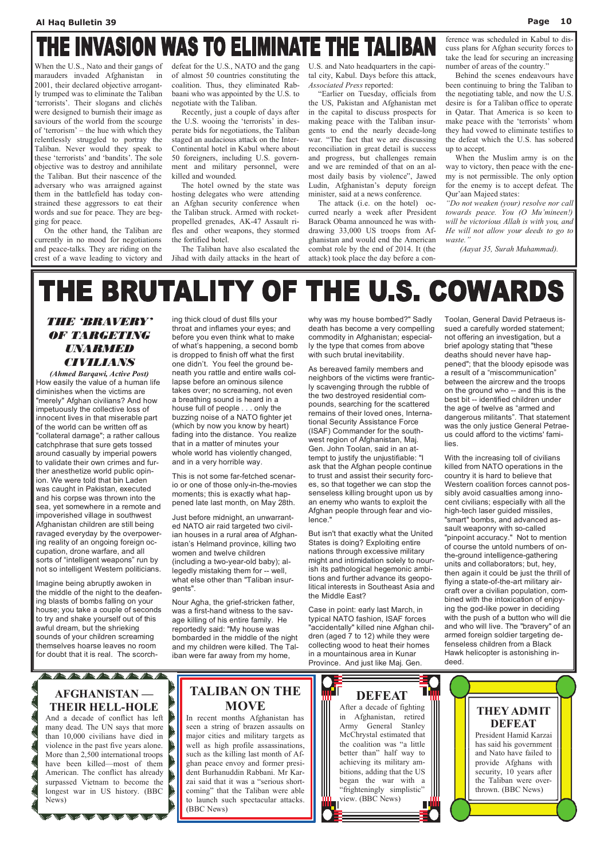# THE INVASION WAS TO ELIMINATE THE TALIBAN

When the U.S., Nato and their gangs of marauders invaded Afghanistan in 2001, their declared objective arrogantly trumped was to eliminate the Taliban 'terrorists'. Their slogans and clichés were designed to burnish their image as saviours of the world from the scourge of 'terrorism' – the hue with which they relentlessly struggled to portray the Taliban. Never would they speak to these 'terrorists' and 'bandits'. The sole objective was to destroy and annihilate the Taliban. But their nascence of the adversary who was arraigned against them in the battlefield has today constrained these aggressors to eat their words and sue for peace. They are begging for peace.

 On the other hand, the Taliban are currently in no mood for negotiations and peace-talks. They are riding on the crest of a wave leading to victory and

defeat for the U.S., NATO and the gang of almost 50 countries constituting the coalition. Thus, they eliminated Rabbaani who was appointed by the U.S. to negotiate with the Taliban.

 Recently, just a couple of days after the U.S. wooing the 'terrorists' in desperate bids for negotiations, the Taliban staged an audacious attack on the Inter-Continental hotel in Kabul where about 50 foreigners, including U.S. government and military personnel, were killed and wounded.

 The hotel owned by the state was hosting delegates who were attending an Afghan security conference when the Taliban struck. Armed with rocketpropelled grenades, AK-47 Assault rifles and other weapons, they stormed the fortified hotel.

 The Taliban have also escalated the Jihad with daily attacks in the heart of U.S. and Nato headquarters in the capital city, Kabul. Days before this attack, Associated Press reported:

 "Earlier on Tuesday, officials from the US, Pakistan and Afghanistan met in the capital to discuss prospects for making peace with the Taliban insurgents to end the nearly decade-long war. "The fact that we are discussing reconciliation in great detail is success and progress, but challenges remain and we are reminded of that on an almost daily basis by violence", Jawed Ludin, Afghanistan's deputy foreign minister, said at a news conference.

 The attack (i.e. on the hotel) occurred nearly a week after President Barack Obama announced he was withdrawing 33,000 US troops from Afghanistan and would end the American combat role by the end of 2014. It (the attack) took place the day before a con-

ference was scheduled in Kabul to discuss plans for Afghan security forces to take the lead for securing an increasing number of areas of the country."

 Behind the scenes endeavours have been continuing to bring the Taliban to the negotiating table, and now the U.S. desire is for a Taliban office to operate in Qatar. That America is so keen to make peace with the 'terrorists' whom they had vowed to eliminate testifies to the defeat which the U.S. has sobered up to accept.

 When the Muslim army is on the way to victory, then peace with the enemy is not permissible. The only option for the enemy is to accept defeat. The Qur'aan Majeed states:

"Do not weaken (your) resolve nor call towards peace. You (O Mu'mineen!) will be victorious Allah is with you, and He will not allow your deeds to go to waste."

(Aayat 35, Surah Muhammad).

# THE BRUTALITY OF THE U.S. COWARDS

## THE 'BRAVERY' OF TARGETING UNAVENTENT CIVILIANS

(Ahmed Barqawi, Active Post) How easily the value of a human life diminishes when the victims are "merely" Afghan civilians? And how impetuously the collective loss of innocent lives in that miserable part of the world can be written off as "collateral damage"; a rather callous catchphrase that sure gets tossed around casually by imperial powers to validate their own crimes and further anesthetize world public opinion. We were told that bin Laden was caught in Pakistan, executed and his corpse was thrown into the sea, yet somewhere in a remote and impoverished village in southwest Afghanistan children are still being ravaged everyday by the overpowering reality of an ongoing foreign occupation, drone warfare, and all sorts of "intelligent weapons" run by not so intelligent Western politicians.

Imagine being abruptly awoken in the middle of the night to the deafening blasts of bombs falling on your house; you take a couple of seconds to try and shake yourself out of this awful dream, but the shrieking sounds of your children screaming themselves hoarse leaves no room

> TALIBAN ON THE **MOVE**

for doubt that it is real. The scorch-

ing thick cloud of dust fills your throat and inflames your eyes; and before you even think what to make of what's happening, a second bomb is dropped to finish off what the first one didn't. You feel the ground beneath you rattle and entire walls collapse before an ominous silence takes over; no screaming, not even a breathing sound is heard in a house full of people . . . only the buzzing noise of a NATO fighter jet (which by now you know by heart) fading into the distance. You realize that in a matter of minutes your whole world has violently changed, and in a very horrible way.

This is not some far-fetched scenario or one of those only-in-the-movies moments; this is exactly what happened late last month, on May 28th.

Just before midnight, an unwarranted NATO air raid targeted two civilian houses in a rural area of Afghanistan's Helmand province, killing two women and twelve children (including a two-year-old baby); allegedly mistaking them for -- well, what else other than "Taliban insurgents".

Nour Agha, the grief-stricken father, was a first-hand witness to the savage killing of his entire family. He reportedly said: "My house was bombarded in the middle of the night and my children were killed. The Tal-

iban were far away from my home,

why was my house bombed?" Sadly death has become a very compelling commodity in Afghanistan; especially the type that comes from above with such brutal inevitability.

As bereaved family members and neighbors of the victims were franticly scavenging through the rubble of the two destroyed residential compounds, searching for the scattered remains of their loved ones, International Security Assistance Force (ISAF) Commander for the southwest region of Afghanistan, Maj. Gen. John Toolan, said in an attempt to justify the unjustifiable: "I ask that the Afghan people continue to trust and assist their security forces, so that together we can stop the senseless killing brought upon us by an enemy who wants to exploit the Afghan people through fear and violence."

But isn't that exactly what the United States is doing? Exploiting entire nations through excessive military might and intimidation solely to nourish its pathological hegemonic ambitions and further advance its geopolitical interests in Southeast Asia and the Middle East?

Case in point: early last March, in typical NATO fashion, ISAF forces "accidentally" killed nine Afghan children (aged 7 to 12) while they were collecting wood to heat their homes in a mountainous area in Kunar Province. And just like Maj. Gen.

Toolan, General David Petraeus issued a carefully worded statement; not offering an investigation, but a brief apology stating that "these deaths should never have happened"; that the bloody episode was a result of a "miscommunication" between the aircrew and the troops on the ground who -- and this is the best bit -- identified children under the age of twelve as "armed and dangerous militants". That statement was the only justice General Petraeus could afford to the victims' families.

With the increasing toll of civilians killed from NATO operations in the country it is hard to believe that Western coalition forces cannot possibly avoid casualties among innocent civilians; especially with all the high-tech laser guided missiles, "smart" bombs, and advanced assault weaponry with so-called "pinpoint accuracy." Not to mention of course the untold numbers of onthe-ground intelligence-gathering units and collaborators; but, hey, then again it could be just the thrill of flying a state-of-the-art military aircraft over a civilian population, combined with the intoxication of enjoying the god-like power in deciding with the push of a button who will die and who will live. The "bravery" of an armed foreign soldier targeting defenseless children from a Black Hawk helicopter is astonishing indeed.

## AFGHANISTAN — THEIR HELL-HOLE

 $\#$   $\rightarrow$   $\#$ 

And a decade of conflict has left many dead. The UN says that more than 10,000 civilians have died in violence in the past five years alone. More than 2,500 international troops have been killed—most of them American. The conflict has already surpassed Vietnam to become the longest war in US history. (BBC News)

In recent months Afghanistan has seen a string of brazen assaults on major cities and military targets as well as high profile assassinations, such as the killing last month of Afghan peace envoy and former president Burhanuddin Rabbani. Mr Karzai said that it was a "serious shortcoming" that the Taliban were able to launch such spectacular attacks. (BBC News)

THEY ADMIT DEFEAT President Hamid Karzai has said his government and Nato have failed to provide Afghans with security, 10 years after the Taliban were overthrown. (BBC News)

#### DEFEAT After a decade of fighting in Afghanistan, retired Army General Stanley McChrystal estimated that the coalition was "a little better than" half way to achieving its military ambitions, adding that the US began the war with a "frighteningly simplistic"

view. (BBC News)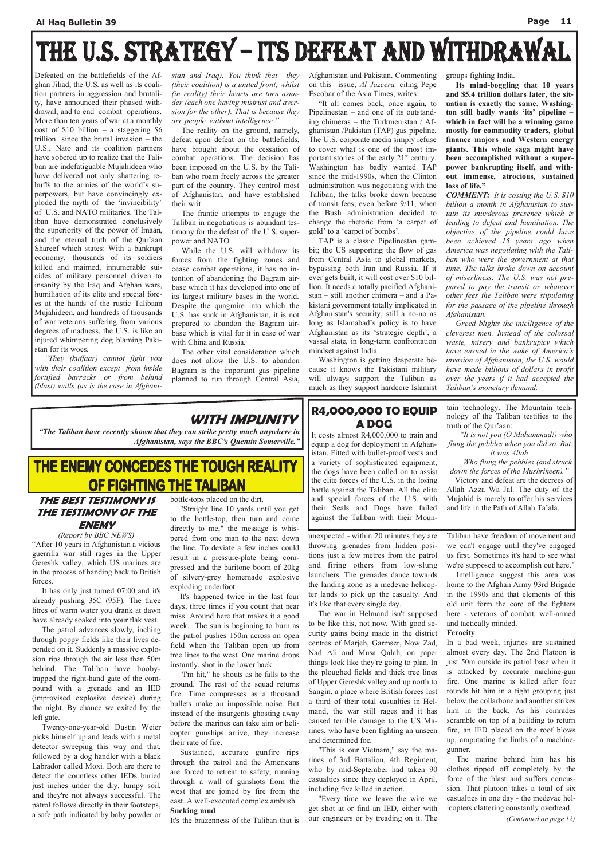# THE U.S. STRATEGY - ITS DEFEAT AND WITHDRAWAL

Defeated on the battlefields of the Afghan Jihad, the U.S. as well as its coalition partners in aggression and brutality, have announced their phased withdrawal, and to end combat operations. More than ten years of war at a monthly cost of  $$10$  billion – a staggering  $$6$ trillion since the brutal invasion – the U.S., Nato and its coalition partners have sobered up to realize that the Taliban are indefatiguable Mujahideen who have delivered not only shattering rebuffs to the armies of the world's superpowers, but have convincingly exploded the myth of the 'invincibility' of U.S. and NATO militaries. The Taliban have demonstrated conclusively the superiority of the power of Imaan, and the eternal truth of the Qur'aan Shareef which states: With a bankrupt economy, thousands of its soldiers killed and maimed, innumerable suicides of military personnel driven to insanity by the Iraq and Afghan wars, humiliation of its elite and special forces at the hands of the rustic Talibaan Mujahideen, and hundreds of thousands of war veterans suffering from various degrees of madness, the U.S. is like an injured whimpering dog blaming Pakistan for its woes.

"They (kuffaar) cannot fight you with their coalition except from inside fortified barracks or from behind (blast) walls (as is the case in Afghanistan and Iraq). You think that they (their coalition) is a united front, whilst (in reality) their hearts are torn asunder (each one having mistrust and aversion for the other). That is because they are people without intelligence."

 The reality on the ground, namely, defeat upon defeat on the battlefields, have brought about the cessation of combat operations. The decision has been imposed on the U.S. by the Taliban who roam freely across the greater part of the country. They control most of Afghanistan, and have established their writ.

 The frantic attempts to engage the Taliban in negotiations is abundant testimony for the defeat of the U.S. superpower and NATO.

Its mind-boggling that 10 years and \$5.4 trillion dollars later, the situation is exactly the same. Washington still badly wants 'its' pipeline – which in fact will be a winning game mostly for commodity traders, global finance majors and Western energy giants. This whole saga might have been accomplished without a superpower bankrupting itself, and without immense, atrocious, sustained loss of life."

 While the U.S. will withdraw its forces from the fighting zones and cease combat operations, it has no intention of abandoning the Bagram airbase which it has developed into one of its largest military bases in the world. Despite the quagmire into which the U.S. has sunk in Afghanistan, it is not prepared to abandon the Bagram airbase which is vital for it in case of war with China and Russia.

 The other vital consideration which does not allow the U.S. to abandon Bagram is the important gas pipeline planned to run through Central Asia,

Afghanistan and Pakistan. Commenting on this issue, Al Jazeera, citing Pepe Escobar of the Asia Times, writes:

 "It all comes back, once again, to Pipelinestan – and one of its outstanding chimeras – the Turkmenistan / Afghanistan /Pakistan (TAP) gas pipeline. The U.S. corporate media simply refuse to cover what is one of the most important stories of the early  $21<sup>st</sup>$  century. Washington has badly wanted TAP since the mid-1990s, when the Clinton administration was negotiating with the Taliban; the talks broke down because of transit fees, even before 9/11, when the Bush administration decided to change the rhetoric from 'a carpet of gold' to a 'carpet of bombs'.

 TAP is a classic Pipelinestan gambit; the US supporting the flow of gas from Central Asia to global markets, bypassing both Iran and Russia. If it ever gets built, it will cost over \$10 billion. It needs a totally pacified Afghanistan – still another chimera – and a Pakistani government totally implicated in Afghanistan's security, still a no-no as long as Islamabad's policy is to have Afghanistan as its 'strategic depth', a vassal state, in long-term confrontation mindset against India.

 Washington is getting desperate because it knows the Pakistani military will always support the Taliban as much as they support hardcore Islamist groups fighting India.

COMMENT: It is costing the U.S. \$10 billion a month in Afghanistan to sustain its murderous presence which is leading to defeat and humiliation. The objective of the pipeline could have been achieved 15 years ago when America was negotiating with the Taliban who were the government at that time. The talks broke down on account of miserliness. The U.S. was not prepared to pay the transit or whatever other fees the Taliban were stipulating for the passage of the pipeline through Afghanistan.

 Greed blights the intelligence of the cleverest men. Instead of the colossal waste, misery and bankruptcy which have ensued in the wake of America's invasion of Afghanistan, the U.S. would have made billions of dollars in profit over the years if it had accepted the Taliban's monetary demand.

## WITH IMPUNITY.

"The Taliban have recently shown that they can strike pretty much anywhere in Afghanistan, says the BBC's Quentin Somerville."

## THE ENEMY CONCEDES THE TOUGH REALITY OF FIGHTING THE TALIBAN

"It is not you (O Muhammad!) who flung the pebbles when you did so. But it was Allah

### THE BEST TESTIMONY IS THE TESTIMONY OF THE ENEMY

(Report by BBC NEWS)

"After 10 years in Afghanistan a vicious guerrilla war still rages in the Upper Gereshk valley, which US marines are in the process of handing back to British forces.

 It has only just turned 07:00 and it's already pushing 35C (95F). The three litres of warm water you drank at dawn have already soaked into your flak vest.

 The patrol advances slowly, inching through poppy fields like their lives depended on it. Suddenly a massive explosion rips through the air less than 50m behind. The Taliban have boobytrapped the right-hand gate of the compound with a grenade and an IED (improvised explosive device) during the night. By chance we exited by the left gate. Twenty-one-year-old Dustin Weier picks himself up and leads with a metal detector sweeping this way and that, followed by a dog handler with a black Labrador called Moxi. Both are there to detect the countless other IEDs buried just inches under the dry, lumpy soil, and they're not always successful. The patrol follows directly in their footsteps, a safe path indicated by baby powder or

bottle-tops placed on the dirt.

 "Straight line 10 yards until you get to the bottle-top, then turn and come directly to me," the message is whispered from one man to the next down the line. To deviate a few inches could result in a pressure-plate being compressed and the baritone boom of 20kg of silvery-grey homemade explosive exploding underfoot.

 It's happened twice in the last four days, three times if you count that near miss. Around here that makes it a good week. The sun is beginning to burn as the patrol pushes 150m across an open field when the Taliban open up from

tree lines to the west. One marine drops instantly, shot in the lower back.

 "I'm hit," he shouts as he falls to the ground. The rest of the squad returns fire. Time compresses as a thousand bullets make an impossible noise. But instead of the insurgents ghosting away before the marines can take aim or helicopter gunships arrive, they increase their rate of fire.

 Sustained, accurate gunfire rips through the patrol and the Americans are forced to retreat to safety, running through a wall of gunshots from the west that are joined by fire from the east. A well-executed complex ambush. Sucking mud

It's the brazenness of the Taliban that is

unexpected - within 20 minutes they are throwing grenades from hidden positions just a few metres from the patrol and firing others from low-slung launchers. The grenades dance towards the landing zone as a medevac helicopter lands to pick up the casualty. And it's like that every single day.

 The war in Helmand isn't supposed to be like this, not now. With good security gains being made in the district centres of Marjeh, Garmser, Now Zad, Nad Ali and Musa Qalah, on paper things look like they're going to plan. In the ploughed fields and thick tree lines of Upper Gereshk valley and up north to Sangin, a place where British forces lost a third of their total casualties in Helmand, the war still rages and it has caused terrible damage to the US Marines, who have been fighting an unseen and determined foe. "This is our Vietnam," say the marines of 3rd Battalion, 4th Regiment, who by mid-September had taken 90 casualties since they deployed in April, including five killed in action.

 "Every time we leave the wire we get shot at or find an IED, either with our engineers or by treading on it. The

Taliban have freedom of movement and we can't engage until they've engaged us first. Sometimes it's hard to see what we're supposed to accomplish out here."

 Intelligence suggest this area was home to the Afghan Army 93rd Brigade in the 1990s and that elements of this old unit form the core of the fighters here - veterans of combat, well-armed and tactically minded.

## Ferocity

In a bad week, injuries are sustained almost every day. The 2nd Platoon is just 50m outside its patrol base when it is attacked by accurate machine-gun fire. One marine is killed after four rounds hit him in a tight grouping just below the collarbone and another strikes him in the back. As his comrades scramble on top of a building to return fire, an IED placed on the roof blows up, amputating the limbs of a machinegunner. The marine behind him has his clothes ripped off completely by the force of the blast and suffers concussion. That platoon takes a total of six casualties in one day - the medevac helicopters clattering constantly overhead.

(Continued on page 12)

### R4,000,000 TO EQUIP A DOG

It costs almost R4,000,000 to train and equip a dog for deployment in Afghanistan. Fitted with bullet-proof vests and a variety of sophisticated equipment, the dogs have been called on to assist the elite forces of the U.S. in the losing battle against the Taliban. All the elite and special forces of the U.S. with their Seals and Dogs have failed against the Taliban with their Mountain technology. The Mountain technology of the Taliban testifies to the truth of the Qur'aan:

 Who flung the pebbles (and struck down the forces of the Mushrikeen)."

 Victory and defeat are the decrees of Allah Azza Wa Jal. The duty of the Mujahid is merely to offer his services and life in the Path of Allah Ta'ala.